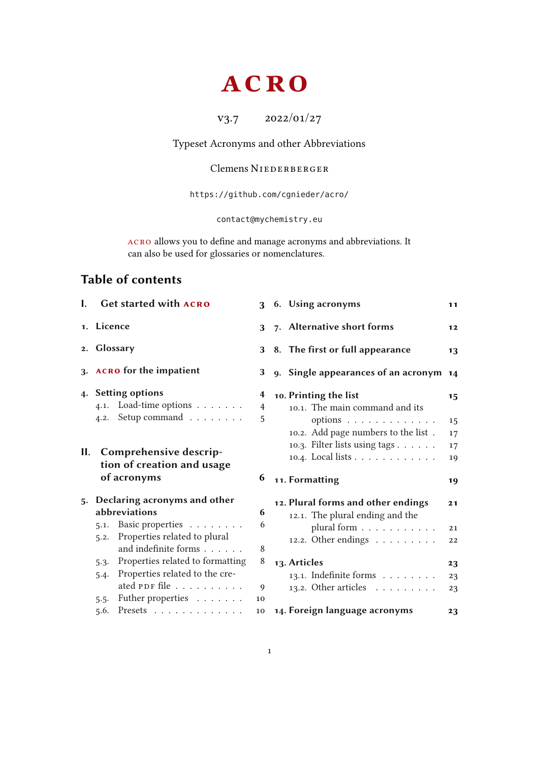## **ACRO**

v3.7 2022/01/27

<span id="page-0-0"></span>Typeset Acronyms and other Abbreviations

## Clemens NIEDERBERGER

<https://github.com/cgnieder/acro/>

[contact@mychemistry.eu](mailto:contact@mychemistry.eu)

acro allows you to define and manage acronyms and abbreviations. It can also be used for glossaries or nomenclatures.

## Table of contents

| L. | <b>Get started with ACRO</b>              |    | 3 6. Using acronyms                         | 11 |
|----|-------------------------------------------|----|---------------------------------------------|----|
|    | 1. Licence                                | 3  | 7. Alternative short forms                  | 12 |
|    | 2. Glossary                               |    | 3 8. The first or full appearance           | 13 |
|    | 3. ACRO for the impatient                 | 3  | 9. Single appearances of an acronym 14      |    |
| 4. | <b>Setting options</b>                    | 4  | 10. Printing the list                       | 15 |
|    | 4.1. Load-time options                    | 4  | 10.1. The main command and its              |    |
|    | Setup command<br>4.2.                     | 5  | options                                     | 15 |
|    |                                           |    | 10.2. Add page numbers to the list.         | 17 |
| П. |                                           |    | 10.3. Filter lists using tags               | 17 |
|    | Comprehensive descrip-                    |    | 10.4. Local lists                           | 19 |
|    |                                           |    |                                             |    |
|    | tion of creation and usage<br>of acronyms | 6  | 11. Formatting                              | 19 |
| 5. | Declaring acronyms and other              |    | 12. Plural forms and other endings          | 21 |
|    | abbreviations                             | 6  | 12.1. The plural ending and the             |    |
|    | 5.1. Basic properties                     | 6  | plural form                                 | 21 |
|    | Properties related to plural<br>5.2.      |    | 12.2. Other endings                         | 22 |
|    | and indefinite forms                      | 8  |                                             |    |
|    | Properties related to formatting<br>5.3.  | 8  | 13. Articles                                | 23 |
|    | Properties related to the cre-<br>5.4.    |    | 13.1. Indefinite forms                      | 23 |
|    | ated PDF file                             | 9  | 13.2. Other articles $\ldots \ldots \ldots$ | 23 |
|    | Futher properties<br>5.5.<br>Presets      | 10 | 14. Foreign language acronyms               |    |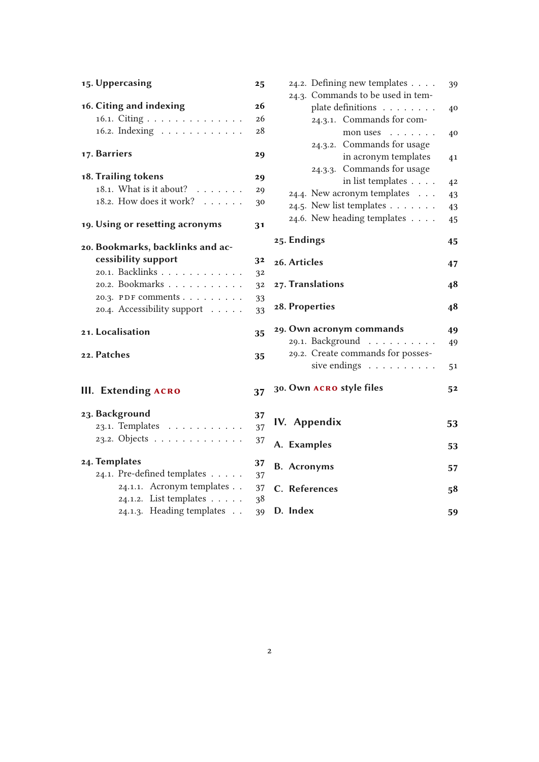| 15. Uppercasing                       | 25             | 24.2. Defining new templates                                          | 39             |
|---------------------------------------|----------------|-----------------------------------------------------------------------|----------------|
| 16. Citing and indexing               | 26             | 24.3. Commands to be used in tem-<br>plate definitions                | 40             |
| 16.1. Citing                          | 26             | 24.3.1. Commands for com-                                             |                |
| 16.2. Indexing                        | 28             | mon uses                                                              | 40             |
| 17. Barriers                          | 29             | 24.3.2. Commands for usage<br>in acronym templates                    | 4 <sub>1</sub> |
| 18. Trailing tokens                   | 29             | 24.3.3. Commands for usage                                            |                |
| 18.1. What is it about?               | 29             | in list templates                                                     | 4 <sup>2</sup> |
| 18.2. How does it work?               | 30             | 24.4. New acronym templates<br>24.5. New list templates $\dots \dots$ | 43             |
|                                       |                | 24.6. New heading templates                                           | 43             |
| 19. Using or resetting acronyms       | 3 <sub>1</sub> |                                                                       | 45             |
| 20. Bookmarks, backlinks and ac-      |                | 25. Endings                                                           | 45             |
| cessibility support                   | 32             | 26. Articles                                                          |                |
| 20.1. Backlinks                       | 32             |                                                                       | 47             |
| 20.2. Bookmarks                       | 32             | 27. Translations                                                      | 48             |
| 20.3. PDF comments                    | 33             |                                                                       |                |
| 20.4. Accessibility support           | 33             | 28. Properties                                                        | 48             |
| 21. Localisation                      | 35             | 29. Own acronym commands                                              | 49             |
|                                       |                | 29.1. Background                                                      | 49             |
| 22. Patches                           | 35             | 29.2. Create commands for posses-                                     |                |
|                                       |                | sive endings                                                          | 51             |
|                                       |                |                                                                       |                |
| <b>III.</b> Extending ACRO            | 37             | 30. Own ACRO style files                                              | 52             |
| 23. Background                        | 37             |                                                                       |                |
| 23.1. Templates                       | 37             | IV. Appendix                                                          | 53             |
| 23.2. Objects                         | 37             | A. Examples                                                           | 53             |
| 24. Templates                         | 37             | <b>B.</b> Acronyms                                                    | 57             |
| 24.1. Pre-defined templates $\dots$ . | 37             |                                                                       |                |
| 24.1.1. Acronym templates             | 37             | C. References                                                         | 58             |
| 24.1.2. List templates                | 38             |                                                                       |                |
| 24.1.3. Heading templates             | 39             | D. Index                                                              | 59             |

40

 $41$ 

 $4<sup>2</sup>$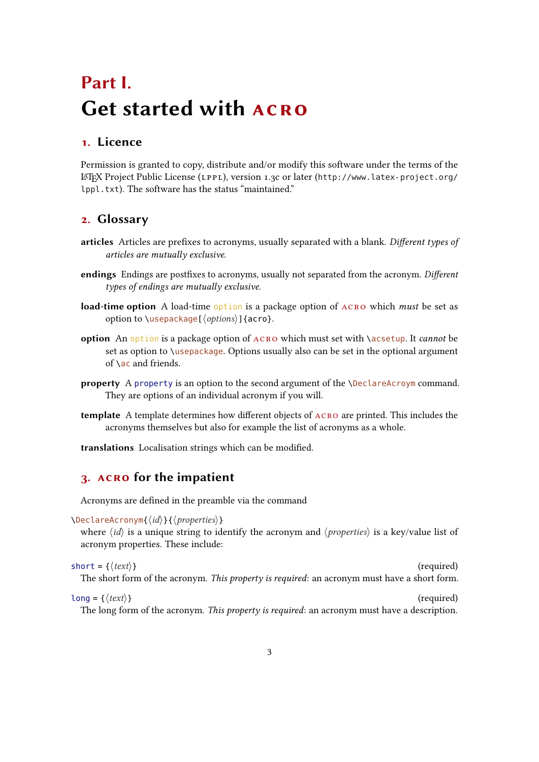## <span id="page-2-4"></span><span id="page-2-0"></span>Part I. Get started with ACRO

## <span id="page-2-1"></span>1. Licence

Permission is granted to copy, distribute and/or modify this software under the terms of the <sup>L</sup>ATEX Project Public License (LPPL), version 1.3c or later ([http://www.latex-project.org/](http://www.latex-project.org/lppl.txt) [lppl.txt](http://www.latex-project.org/lppl.txt)). The software has the status "maintained."

## <span id="page-2-2"></span>2. Glossary

- articles Articles are prefixes to acronyms, usually separated with a blank. Different types of articles are mutually exclusive.
- endings Endings are postfixes to acronyms, usually not separated from the acronym. Different types of endings are mutually exclusive.
- **load-time option** A load-time option is a package option of  $ACRO$  which *must* be set as option to  $\text{usepackage}[\langle options\rangle]$  {acro}.
- option An option is a package option of  $ACRO$  which must set with  $\a$ csetup. It *cannot* be set as option to \usepackage. Options usually also can be set in the optional argument of  $\setminus$  ac and friends.
- property A property is an option to the second argument of the  $\Delta$  eclareAcroym command. They are options of an individual acronym if you will.
- template A template determines how different objects of  $ACRO$  are printed. This includes the acronyms themselves but also for example the list of acronyms as a whole.
- translations Localisation strings which can be modified.

## <span id="page-2-3"></span>3. acro for the impatient

Acronyms are defined in the preamble via the command

\DeclareAcronym{⟨id⟩}{⟨properties⟩}

where  $\langle id \rangle$  is a unique string to identify the acronym and  $\langle properties \rangle$  is a key/value list of acronym properties. These include:

```
short = {\langle text \rangle} (required)
 The short form of the acronym. This property is required: an acronym must have a short form.
```
 $long = \{\langle text \rangle\}$  (required) The long form of the acronym. This property is required: an acronym must have a description.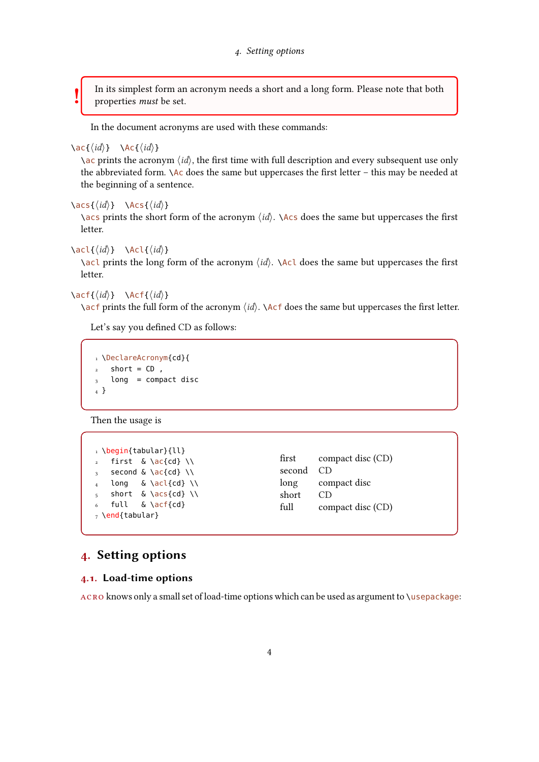<span id="page-3-2"></span>In its simplest form an acronym needs a short and a long form. Please note that both properties must be set.

In the document acronyms are used with these commands:

#### $\{ \langle id \rangle \}$  \Ac{ $\langle id \rangle$ }

!

 $\a$  prints the acronym  $\langle id \rangle$ , the first time with full description and every subsequent use only the abbreviated form.  $\Delta c$  does the same but uppercases the first letter – this may be needed at the beginning of a sentence.

```
\text{Res}\{\langle id \rangle\} \Acs\{\langle id \rangle\}
```
\acs prints the short form of the acronym  $\langle id \rangle$ . \Acs does the same but uppercases the first letter.

```
\aleph \acl{\langle id \rangle} \Acl{\langle id \rangle}
```
 $\setminus$ acl prints the long form of the acronym  $\langle id \rangle$ .  $\setminus$ Acl does the same but uppercases the first letter.

```
\setminus \text{act}\{\langle id \rangle\} \Acf{\langle id \rangle\}
```
\acf prints the full form of the acronym  $\langle id \rangle$ . \Acf does the same but uppercases the first letter.

Let's say you defined [CD](#page-56-2) as follows:

```
1 \DeclareAcronym{cd}{
2 short = CD,
3 long = compact disc
4 }
```
Then the usage is

1 \begin{tabular}{ll}  $\frac{1}{2}$  first & \ac{cd} \\  $3$  second & \ac{cd} \\  $_4$  long & \acl{cd} \\ 5 short &  $\acs\{cd\}$  /  $6$  full &  $\acf{cd}$  $<sub>7</sub>$  \end{tabular}</sub>

```
(CD)
second CD
long compact disc
short CD
(CD)
```
## <span id="page-3-0"></span>4. Setting options

#### <span id="page-3-1"></span>4.1. Load-time options

ACRO knows only a small set of load-time options which can be used as argument to  $\iota$ usepackage: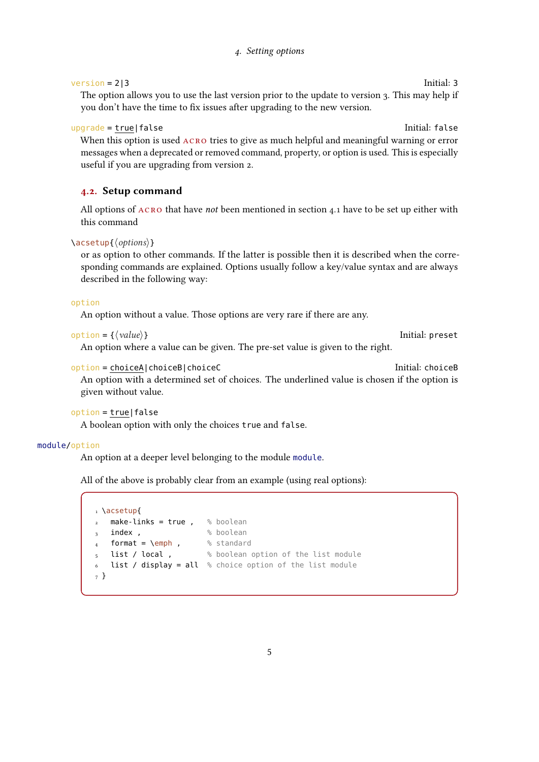#### 4. Setting options

#### <span id="page-4-1"></span>version = 2|3 Initial: 3

The option allows you to use the last version prior to the update to version 3. This may help if you don't have the time to fix issues after upgrading to the new version.

#### upgrade = true|false Initial: false

When this option is used ACRO tries to give as much helpful and meaningful warning or error messages when a deprecated or removed command, property, or option is used. This is especially useful if you are upgrading from version 2.

#### <span id="page-4-0"></span>4.2. Setup command

All options of  $ACRO$  that have *not* been mentioned in section [4.1](#page-3-1) have to be set up either with this command

#### \acsetup{⟨options⟩}

or as option to other commands. If the latter is possible then it is described when the corresponding commands are explained. Options usually follow a key/value syntax and are always described in the following way:

#### option

An option without a value. Those options are very rare if there are any.

```
option = {⟨value⟩} Initial: preset
```
An option where a value can be given. The pre-set value is given to the right.

#### option = choiceA|choiceB|choiceC Initial: choiceB

An option with a determined set of choices. The underlined value is chosen if the option is given without value.

```
option = true|false
```
A boolean option with only the choices true and false.

#### module/option

An option at a deeper level belonging to the module module.

All of the above is probably clear from an example (using real options):

```
1 \acsetup{
2 make-links = true, % boolean
\frac{3}{3} index, \frac{2}{3} boolean
  format = \emph , % standard list / local , % boolean state of the standard
                             % boolean option of the list module
6 list / display = all % choice option of the list module
7 }
```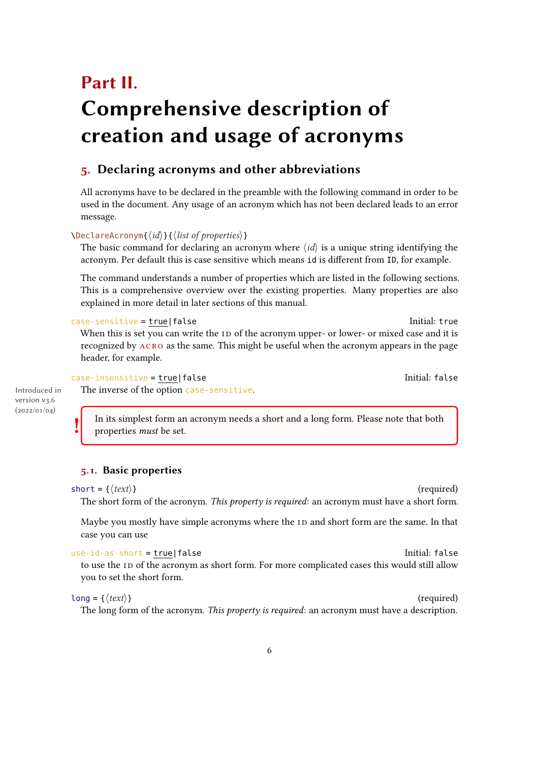## <span id="page-5-3"></span><span id="page-5-0"></span>Part II. Comprehensive description of creation and usage of acronyms

## <span id="page-5-1"></span>5. Declaring acronyms and other abbreviations

All acronyms have to be declared in the preamble with the following command in order to be used in the document. Any usage of an acronym which has not been declared leads to an error message.

#### \DeclareAcronym{⟨id⟩}{⟨list of properties⟩}

The basic command for declaring an acronym where  $\langle id \rangle$  is a unique string identifying the acronym. Per default this is case sensitive which means id is different from ID, for example.

The command understands a number of properties which are listed in the following sections. This is a comprehensive overview over the existing properties. Many properties are also explained in more detail in later sections of this manual.

#### case-sensitive = true|false Initial: true Initial: true

When this is set you can write the [ID](#page-56-3) of the acronym upper- or lower- or mixed case and it is recognized by acro as the same. This might be useful when the acronym appears in the page header, for example.

#### case-insensitive = true|false Initial: false Initial: false

The inverse of the option case-sensitive.

Introduced in version v3.6 (2022/01/04)

! In its simplest form an acronym needs a short and a long form. Please note that both

properties must be set.

#### <span id="page-5-2"></span>5.1. Basic properties

```
short = {\langle text \rangle} (required)
```
The short form of the acronym. This property is required: an acronym must have a short form.

Maybe you mostly have simple acronyms where the [ID](#page-56-3) and short form are the same. In that case you can use

```
use-id-as-short = true|false Initial: false
 to use the ID of the acronym as short form. For more complicated cases this would still allow
 you to set the short form.
```
#### $long = \{\langle text \rangle\}$  (required) The long form of the acronym. This property is required: an acronym must have a description.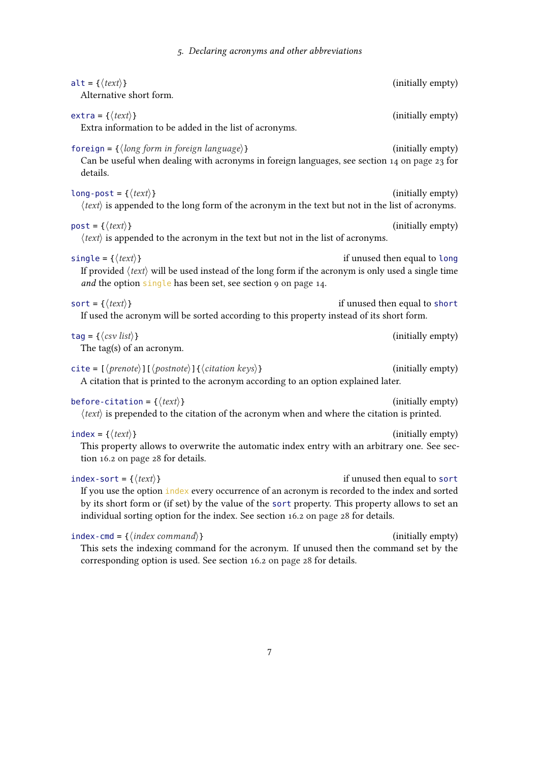5. Declaring acronyms and other abbreviations

<span id="page-6-0"></span>

| $alt = \{\langle text \rangle\}$<br>Alternative short form.                                                                                                                                                                                                                                                                       | (initially empty)             |
|-----------------------------------------------------------------------------------------------------------------------------------------------------------------------------------------------------------------------------------------------------------------------------------------------------------------------------------|-------------------------------|
| $ext{ra} = \{\langle text \rangle\}$<br>Extra information to be added in the list of acronyms.                                                                                                                                                                                                                                    | (initially empty)             |
| foreign = $\{\langle long\ form\ in\ foreign\ language\rangle\}$<br>Can be useful when dealing with acronyms in foreign languages, see section 14 on page 23 for<br>details.                                                                                                                                                      | (initially empty)             |
| long-post = { $\langle text \rangle$ }<br>$\langle text \rangle$ is appended to the long form of the acronym in the text but not in the list of acronyms.                                                                                                                                                                         | (initially empty)             |
| $post = {\langle \text{text} \rangle}$<br>$\langle text \rangle$ is appended to the acronym in the text but not in the list of acronyms.                                                                                                                                                                                          | (initially empty)             |
| single = { $\langle text \rangle$ }<br>If provided $\langle text \rangle$ will be used instead of the long form if the acronym is only used a single time<br>and the option single has been set, see section 9 on page 14.                                                                                                        | if unused then equal to long  |
| sort = { $\langle text \rangle$ }<br>If used the acronym will be sorted according to this property instead of its short form.                                                                                                                                                                                                     | if unused then equal to short |
|                                                                                                                                                                                                                                                                                                                                   |                               |
| $tag = \langle \cos v \, list \rangle$<br>The tag(s) of an acronym.                                                                                                                                                                                                                                                               | (initially empty)             |
| cite = $\left[\langle \text{prenote} \rangle\right] \left[\langle \text{postnote} \rangle\right] \left\{\langle \text{citation keys} \rangle\right\}$<br>A citation that is printed to the acronym according to an option explained later.                                                                                        | (initially empty)             |
| before-citation = { $\langle text \rangle$ }<br>$\langle text \rangle$ is prepended to the citation of the acronym when and where the citation is printed.                                                                                                                                                                        | (initially empty)             |
| index = { $\langle text \rangle$ }<br>This property allows to overwrite the automatic index entry with an arbitrary one. See sec-<br>tion 16.2 on page 28 for details.                                                                                                                                                            | (initially empty)             |
| index-sort = { $\langle text \rangle$ }<br>If you use the option index every occurrence of an acronym is recorded to the index and sorted<br>by its short form or (if set) by the value of the sort property. This property allows to set an<br>individual sorting option for the index. See section 16.2 on page 28 for details. | if unused then equal to sort  |
| $index-cmd = {\langle index\ command \rangle}$<br>This sets the indexing command for the acronym. If unused then the command set by the                                                                                                                                                                                           |                               |
| corresponding option is used. See section 16.2 on page 28 for details.                                                                                                                                                                                                                                                            | (initially empty)             |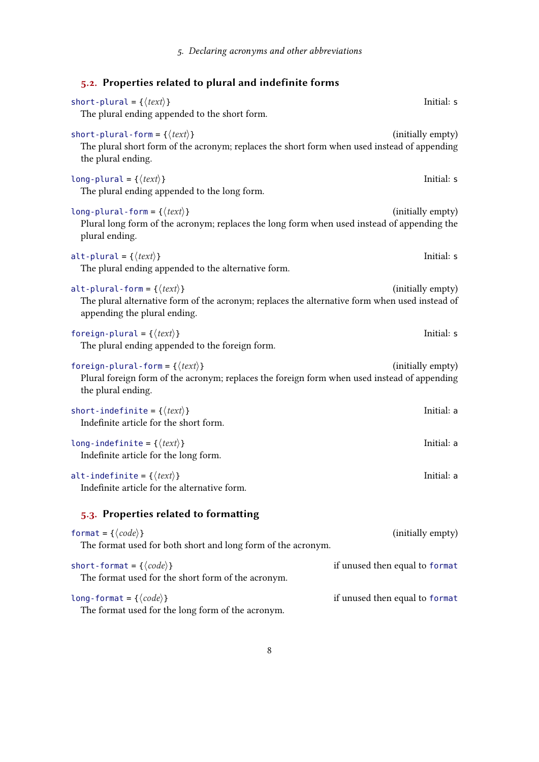<span id="page-7-2"></span><span id="page-7-1"></span><span id="page-7-0"></span>

| 5.2. Properties related to plural and indefinite forms                                                                                                                         |                                |
|--------------------------------------------------------------------------------------------------------------------------------------------------------------------------------|--------------------------------|
| short-plural = { $\langle text \rangle$ }<br>The plural ending appended to the short form.                                                                                     | Initial: s                     |
| short-plural-form = { $\langle text \rangle$ }<br>The plural short form of the acronym; replaces the short form when used instead of appending<br>the plural ending.           | (initially empty)              |
| long-plural = { $\langle text \rangle$ }<br>The plural ending appended to the long form.                                                                                       | Initial: s                     |
| long-plural-form = { $\langle text \rangle$ }<br>Plural long form of the acronym; replaces the long form when used instead of appending the<br>plural ending.                  | (initially empty)              |
| alt-plural = { $\langle text \rangle$ }<br>The plural ending appended to the alternative form.                                                                                 | Initial: s                     |
| alt-plural-form = { $\langle text \rangle$ }<br>The plural alternative form of the acronym; replaces the alternative form when used instead of<br>appending the plural ending. | (initially empty)              |
| foreign-plural = { $\langle text \rangle$ }<br>The plural ending appended to the foreign form.                                                                                 | Initial: s                     |
| foreign-plural-form = { $\langle text \rangle$ }<br>Plural foreign form of the acronym; replaces the foreign form when used instead of appending<br>the plural ending.         | (initially empty)              |
| short-indefinite = { $\langle text \rangle$ }<br>Indefinite article for the short form.                                                                                        | Initial: a                     |
| long-indefinite = { $\langle text \rangle$ }<br>Indefinite article for the long form.                                                                                          | Initial: a                     |
| alt-indefinite = { $\langle text \rangle$ }<br>Indefinite article for the alternative form.                                                                                    | Initial: a                     |
| 5.3. Properties related to formatting                                                                                                                                          |                                |
| format = { $\langle code \rangle$ }<br>The format used for both short and long form of the acronym.                                                                            | (initially empty)              |
| short-format = { $\langle code \rangle$ }<br>The format used for the short form of the acronym.                                                                                | if unused then equal to format |
| long-format = { $\langle code \rangle$ }<br>The format used for the long form of the acronym.                                                                                  | if unused then equal to format |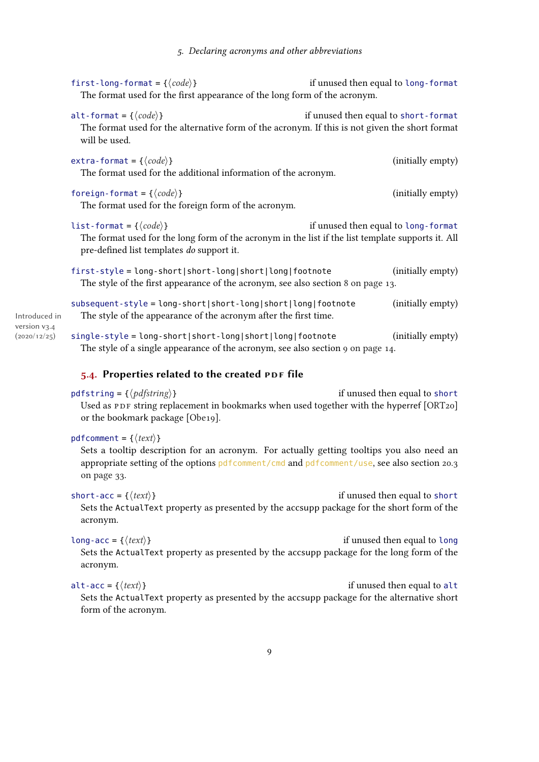<span id="page-8-1"></span>

|                              | first-long-format = { $\langle code \rangle$ }<br>The format used for the first appearance of the long form of the acronym.                                                                 | if unused then equal to long-format  |                   |
|------------------------------|---------------------------------------------------------------------------------------------------------------------------------------------------------------------------------------------|--------------------------------------|-------------------|
|                              | alt-format = { $\langle code \rangle$ }<br>The format used for the alternative form of the acronym. If this is not given the short format<br>will be used.                                  | if unused then equal to short-format |                   |
|                              | extra-format = { $\langle code \rangle$ }<br>The format used for the additional information of the acronym.                                                                                 |                                      | (initially empty) |
|                              | foreign-format = { $\langle code \rangle$ }<br>The format used for the foreign form of the acronym.                                                                                         |                                      | (initially empty) |
|                              | list-format = { $\langle code \rangle$ }<br>The format used for the long form of the acronym in the list if the list template supports it. All<br>pre-defined list templates do support it. | if unused then equal to long-format  |                   |
|                              | first-style = long-short short-long short long footnote<br>The style of the first appearance of the acronym, see also section 8 on page 13.                                                 |                                      | (initially empty) |
| Introduced in                | subsequent-style = long-short short-long short long footnote<br>The style of the appearance of the acronym after the first time.                                                            |                                      | (initially empty) |
| version v3.4<br>(2020/12/25) | single-style = long-short short-long short long footnote<br>The style of a single appearance of the acronym, see also section 9 on page 14.                                                 |                                      | (initially empty) |
|                              |                                                                                                                                                                                             |                                      |                   |

#### <span id="page-8-0"></span>5.4. Properties related to the created PDF file

#### pdfstring =  $\{\langle pdfstring \rangle\}$  if unused then equal to short Used as [PDF](#page-56-0) string replacement in bookmarks when used together with the hyperref [\[ORT20\]](#page-57-1) or the bookmark package [\[Obe19\]](#page-57-2).

#### pdfcomment = { $\langle text \rangle$ }

> Sets a tooltip description for an acronym. For actually getting tooltips you also need an appropriate setting of the options pdfcomment/cmd and pdfcomment/use, see also section [20.3](#page-32-0) [on page 33.](#page-32-0)

```
short-acc = {\langle text \rangle}
 Sets the ActualText property as presented by the accsupp package for the short form of the
 acronym.
```

```
long-acc = {\langle text \rangle}
 Sets the ActualText property as presented by the accsupp package for the long form of the
 acronym.
```
alt-acc = { $\langle text \rangle$ } Sets the ActualText property as presented by the accsupp package for the alternative short form of the acronym.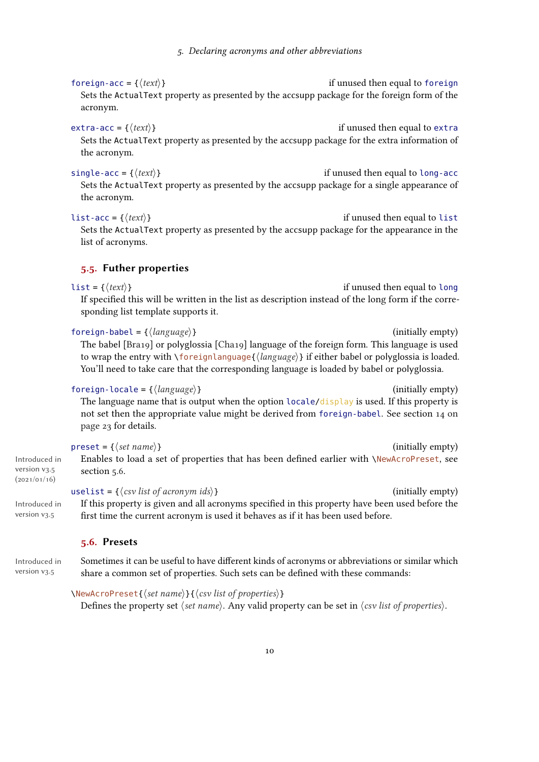#### <span id="page-9-2"></span>foreign-acc =  $\{\langle text \rangle\}$  if unused then equal to foreign Sets the ActualText property as presented by the accsupp package for the foreign form of the acronym.

#### $\text{extra} - \text{acc} = \{ \langle \text{text}\rangle \}$  if unused then equal to extra

Sets the ActualText property as presented by the accsupp package for the extra information of the acronym.

#### single-acc =  $\{\langle text \rangle\}$  if unused then equal to long-acc

Sets the ActualText property as presented by the accsupp package for a single appearance of the acronym.

#### list-acc = { $\{text{text}\}$ }

Sets the ActualText property as presented by the accsupp package for the appearance in the list of acronyms.

#### <span id="page-9-0"></span>5.5. Futher properties

 $list = \{\langle text \rangle\}$  if unused then equal to long If specified this will be written in the list as description instead of the long form if the corresponding list template supports it.

#### foreign-babel = { $\langle \text{language} \rangle$ } (initially empty)

The babel [\[Bra19\]](#page-57-3) or polyglossia [\[Cha19\]](#page-57-4) language of the foreign form. This language is used to wrap the entry with  $\{orange\{\langle language\rangle\}$  if either babel or polyglossia is loaded. You'll need to take care that the corresponding language is loaded by babel or polyglossia.

#### $foreign-locale = \{\langle language \rangle\}$  (initially empty)

The language name that is output when the option locale/display is used. If this property is not set then the appropriate value might be derived from foreign-babel. See section [14 on](#page-22-3) [page 23](#page-22-3) for details.

#### $\text{present} = \{\langle set \text{ name} \rangle\}$  (initially empty)

Enables to load a set of properties that has been defined earlier with \NewAcroPreset, see section [5.6.](#page-9-1)

If this property is given and all acronyms specified in this property have been used before the

#### uselist =  $\{\langle \text{csv} \text{ list of acoronym } \text{ ids} \rangle\}$  (initially empty)

Introduced in version v3.5

## first time the current acronym is used it behaves as if it has been used before.

#### <span id="page-9-1"></span>5.6. Presets

Introduced in Sometimes it can be useful to have different kinds of acronyms or abbreviations or similar which share a common set of properties. Such sets can be defined with these commands:

#### \NewAcroPreset{⟨set name⟩}{⟨csv list of properties⟩}

Defines the property set  $\langle set \text{ name} \rangle$ . Any valid property can be set in  $\langle \text{csv} \rangle$  list of properties $\rangle$ .

# (2021/01/16)

Introduced in version v3.5

version v3.5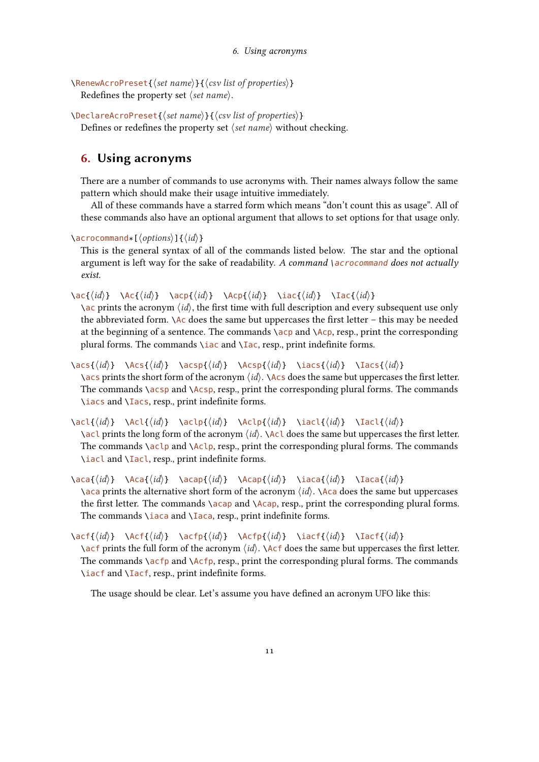```
\RenewAcroPreset{⟨set name⟩}{⟨csv list of properties⟩}
  Redefines the property set \langle set \space name \rangle.
```
\DeclareAcroPreset{⟨set name⟩}{⟨csv list of properties⟩} Defines or redefines the property set *⟨set name*⟩ without checking.

## <span id="page-10-0"></span>6. Using acronyms

There are a number of commands to use acronyms with. Their names always follow the same pattern which should make their usage intuitive immediately.

All of these commands have a starred form which means "don't count this as usage". All of these commands also have an optional argument that allows to set options for that usage only.

\acrocommand\*[⟨options⟩]{⟨id⟩}

This is the general syntax of all of the commands listed below. The star and the optional argument is left way for the sake of readability. A command  $\alpha$  acrocommand does not actually exist.

\ac{⟨id⟩} \Ac{⟨id⟩} \acp{⟨id⟩} \Acp{⟨id⟩} \iac{⟨id⟩} \Iac{⟨id⟩}

 $\alpha$  prints the acronym  $\langle id \rangle$ , the first time with full description and every subsequent use only the abbreviated form.  $\Delta c$  does the same but uppercases the first letter – this may be needed at the beginning of a sentence. The commands  $\alpha$  and  $\alpha$ , resp., print the corresponding plural forms. The commands \iac and \Iac, resp., print indefinite forms.

```
\acs{\{id\} \Acs{\{id\} \acsp{\{id\} \Acsp{\{id\} \iacs{\{id\} \Iacs{\{id\}}
  \langle \text{acs prints the short form of the acronym } \langle id \rangle. \langle \text{Acs does the same but uppercase the first letter.}The commands \acsp and \Acsp, resp., print the corresponding plural forms. The commands
  \iacs and \Iacs, resp., print indefinite forms.
```
\acl{ $\langle id \rangle$ } \Acl{ $\langle id \rangle$ } \aclp{ $\langle id \rangle$ } \iacl{ $\langle id \rangle$ } \Iacl{ $\langle id \rangle$ }

\acl prints the long form of the acronym  $\langle id \rangle$ . \Acl does the same but uppercases the first letter. The commands  $\act{a\ccot\}$  and  $\Act{p, resp., print}$  the corresponding plural forms. The commands \iacl and \Iacl, resp., print indefinite forms.

\aca{ $\{id\}$  \Aca{ $\{id\}$ } \acap{ $\{id\}$ } \Acap{ $\{id\}$ } \iaca{ $\{id\}$ } \Iaca{ $\{id\}$ }  $\alpha$  prints the alternative short form of the acronym  $\langle id \rangle$ .  $\alpha$  does the same but uppercases the first letter. The commands  $\a$ cap and  $\Acap$ , resp., print the corresponding plural forms. The commands \iaca and \Iaca, resp., print indefinite forms.

\acf{ $\{id\}$  \Acf{ $\{id\}$  \acfp{ $\{id\}$  \Acfp{ $\{id\}$ } \iacf{ $\{id\}$  \Iacf{ $\{id\}$ } \acf prints the full form of the acronym  $\langle id \rangle$ . \Acf does the same but uppercases the first letter. The commands  $\a{cfp}$  and  $\A{cfp}$ , resp., print the corresponding plural forms. The commands \iacf and \Iacf, resp., print indefinite forms.

The usage should be clear. Let's assume you have defined an acronym [UFO](#page-57-5) like this: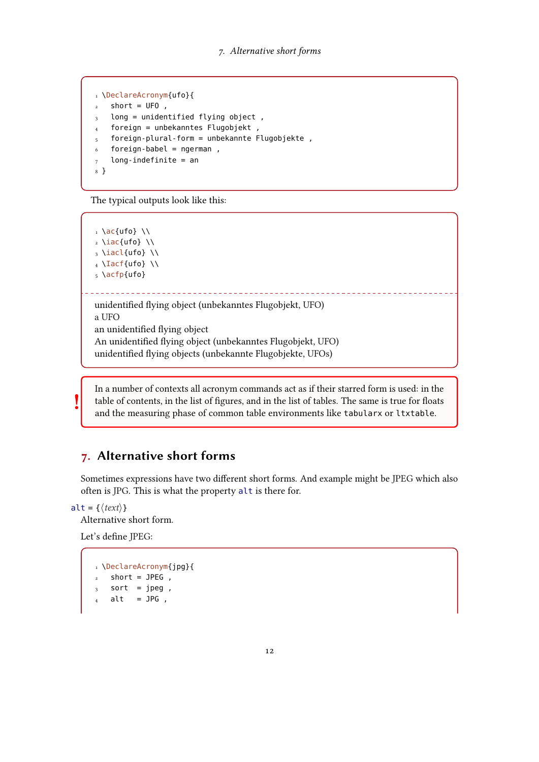```
1 \DeclareAcronym{ufo}{
2 short = UFO,
3 long = unidentified flying object,
  4 foreign = unbekanntes Flugobjekt ,
5 foreign-plural-form = unbekannte Flugobjekte,
6 foreign-babel = ngerman,
7 long-indefinite = an
8 }
```
The typical outputs look like this:

 $_1 \ \setminus \textsf{ac}$  {ufo} \\  $_2 \setminus$ iac{ufo}  $\setminus$  $_3 \setminus \text{iacl{ufo}} \setminus \setminus$  $_4$  \Iacf{ufo} \\ 5 \acfp{ufo} unidentified flying object (unbekanntes Flugobjekt, [UFO\)](#page-57-5) [a UFO](#page-57-5) an unidentified flying object An unidentified flying object (unbekanntes Flugobjekt, [UFO\)](#page-57-5) unidentified flying objects (unbekannte Flugobjekte, [UFOs\)](#page-57-5)

In a number of contexts all acronym commands act as if their starred form is used: in the table of contents, in the list of figures, and in the list of tables. The same is true for floats and the measuring phase of common table environments like tabularx or ltxtable.

## <span id="page-11-0"></span>7. Alternative short forms

Sometimes expressions have two different short forms. And example might be [JPEG](#page-56-4) which also often is [JPG.](#page-56-4) This is what the property alt is there for.

alt = { $\langle text \rangle$ }

!

Alternative short form.

Let's define [JPEG:](#page-56-4)

```
1 \DeclareAcronym{jpg}{
2 short = JPEG ,
3 sort = jpeg,
   alt = JPG,
```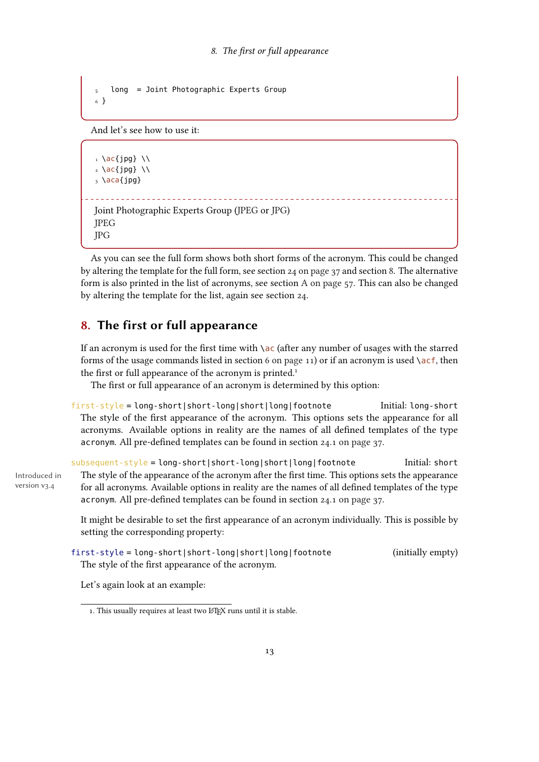```
5 long = Joint Photographic Experts Group
6 }
```
And let's see how to use it:

```
_1 \setminus \textsf{ac}\{\textsf{jpg}\} \\
_2 \setminus \text{ac}\{\text{jpg}\} \setminus \setminus3 \ \text{aca}\Joint Photographic Experts Group (JPEG or JPG)
JPEG
JPG
```
As you can see the full form shows both short forms of the acronym. This could be changed by altering the template for the full form, see section [24 on page 37](#page-36-4) and section [8.](#page-12-0) The alternative form is also printed in the list of acronyms, see section [A on page 57.](#page-56-1) This can also be changed by altering the template for the list, again see section [24.](#page-36-4)

## <span id="page-12-0"></span>8. The first or full appearance

If an acronym is used for the first time with  $\a$ c (after any number of usages with the starred forms of the usage commands listed in section [6 on page 11\)](#page-10-0) or if an acronym is used  $\setminus$  acf, then the first or full appearance of the acronym is printed.<sup>1</sup>

The first or full appearance of an acronym is determined by this option:

first-style = long-short|short-long|short|long|footnote Initial: long-short The style of the first appearance of the acronym. This options sets the appearance for all acronyms. Available options in reality are the names of all defined templates of the type acronym. All pre-defined templates can be found in section [24.1 on page 37.](#page-36-5)

subsequent-style = long-short|short-long|short|long|footnote Initial: short Introduced in version v3.4 The style of the appearance of the acronym after the first time. This options sets the appearance for all acronyms. Available options in reality are the names of all defined templates of the type acronym. All pre-defined templates can be found in section [24.1 on page 37.](#page-36-5)

> It might be desirable to set the first appearance of an acronym individually. This is possible by setting the corresponding property:

```
first-style = long-short|short-long|short|long|footnote (initially empty)
 The style of the first appearance of the acronym.
```
Let's again look at an example:

<span id="page-12-1"></span><sup>1.</sup> This usually requires at least two LATEX runs until it is stable.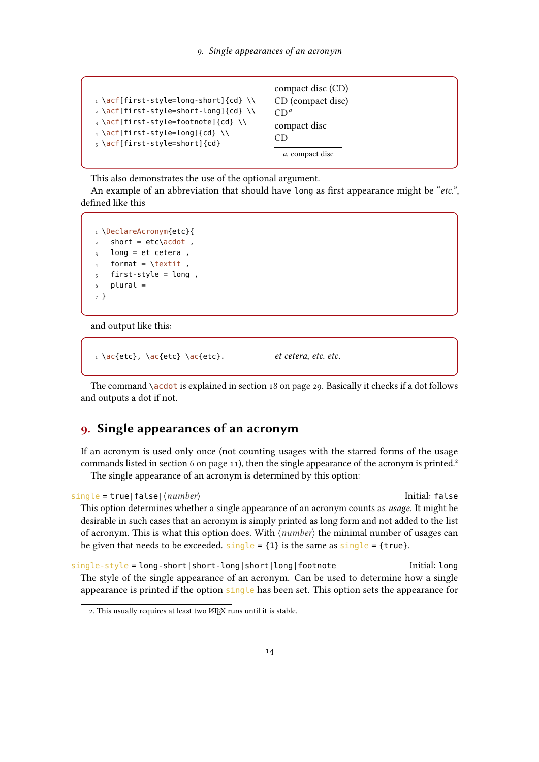```
\rightarrow \acf[first-style=long-short]{cd} \\
2 \acf[first-style=short-long]{cd} \\
_3 \setminus \text{acf}[first-style=footnote]{cd} \\
4 \acf[first-style=long]{cd} \\
5 \acf[first-style=short]{cd}
                                               compact disc (CD)
                                               CD (compact disc)
                                               CDa</sup>compact disc
                                               CD
                                                 a. compact disc
```
<span id="page-13-1"></span>This also demonstrates the use of the optional argument.

An example of an abbreviation that should have long as first appearance might be "[etc.](#page-56-5)", defined like this

```
1 \DeclareAcronym{etc}{
2 short = etc\acdot,
  long = et cetera,
   format = \text{texti},
  5 first-style = long ,
6 plural =
7 }
```
and output like this:

```
etc\}, \{etc\} etc.\}
```
The command  $\a$ cdot is explained in section [18 on page 29.](#page-28-1) Basically it checks if a dot follows and outputs a dot if not.

## <span id="page-13-0"></span>9. Single appearances of an acronym

If an acronym is used only once (not counting usages with the starred forms of the usage commands listed in section [6 on page 11\)](#page-10-0), then the single appearance of the acronym is printed.<sup>2</sup> The single appearance of an acronym is determined by this option:

```
single = true|false|\langle number \rangleThis option determines whether a single appearance of an acronym counts as usage. It might be
  desirable in such cases that an acronym is simply printed as long form and not added to the list
  of acronym. This is what this option does. With \langle number \rangle the minimal number of usages can
  be given that needs to be exceeded. single = \{1\} is the same as single = {true}.single-style = long-short|short-long|short|long|footnote Initial: long
```
The style of the single appearance of an acronym. Can be used to determine how a single appearance is printed if the option single has been set. This option sets the appearance for

<span id="page-13-2"></span><sup>2.</sup> This usually requires at least two LATEX runs until it is stable.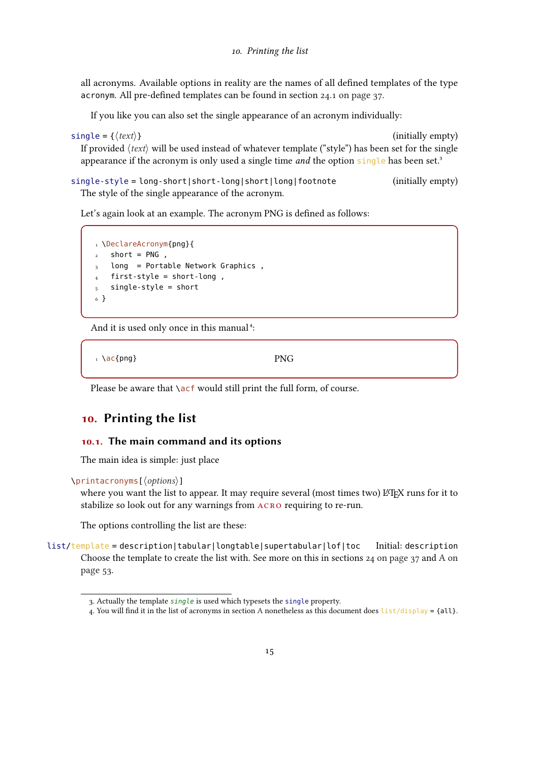<span id="page-14-4"></span>all acronyms. Available options in reality are the names of all defined templates of the type acronym. All pre-defined templates can be found in section [24.1 on page 37.](#page-36-5)

If you like you can also set the single appearance of an acronym individually:

 $single = \{\langle text \rangle\}$  (initially empty)

If provided  $\langle text \rangle$  will be used instead of whatever template ("style") has been set for the single appearance if the acronym is only used a single time *and* the option single has been set.<sup>3</sup>

single-style = long-short|short-long|short|long|footnote (initially empty) The style of the single appearance of the acronym.

Let's again look at an example. The acronym PNG is defined as follows:

```
1 \DeclareAcronym{png}{
2 short = PNG,
3 long = Portable Network Graphics,
  first-style = short-long,
5 single-style = short
6 }
```
And it is used only once in this manual<sup>4</sup>:

 $_1 \ \text{ac}$ {png} PNG

Please be aware that  $\setminus$  acf would still print the full form, of course.

## <span id="page-14-0"></span>10. Printing the list

#### <span id="page-14-1"></span>10.1. The main command and its options

The main idea is simple: just place

```
\printacronyms[⟨options⟩]
```
where you want the list to appear. It may require several (most times two) LATEX runs for it to stabilize so look out for any warnings from acro requiring to re-run.

The options controlling the list are these:

list/template = description|tabular|longtable|supertabular|lof|toc Initial: description Choose the template to create the list with. See more on this in sections  $24$  on page 37 and [A on](#page-52-1) [page 53.](#page-52-1)

<span id="page-14-2"></span><sup>3.</sup> Actually the template single is used which typesets the single property.

<span id="page-14-3"></span><sup>4.</sup> You will find it in the list of acronyms in section [A](#page-56-1) nonetheless as this document does  $list/display = {all}.$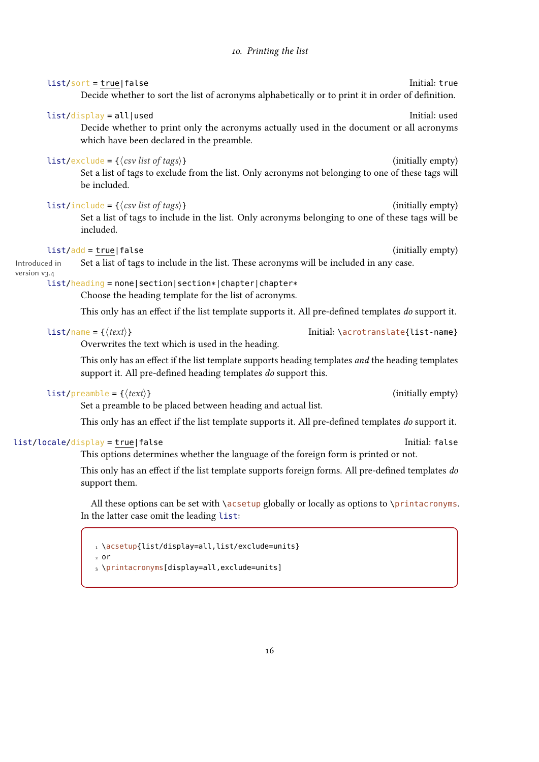<span id="page-15-0"></span>

|                               | $list/sort = true   false$<br>Decide whether to sort the list of acronyms alphabetically or to print it in order of definition.                                                            | Initial: true                      |  |
|-------------------------------|--------------------------------------------------------------------------------------------------------------------------------------------------------------------------------------------|------------------------------------|--|
|                               | list/display = all used<br>Decide whether to print only the acronyms actually used in the document or all acronyms<br>which have been declared in the preamble.                            | Initial: used                      |  |
|                               | list/exclude = $\{\langle \text{csv} \text{ list of tags} \rangle\}$<br>Set a list of tags to exclude from the list. Only acronyms not belonging to one of these tags will<br>be included. | (initially empty)                  |  |
|                               | list/include = $\{\langle \text{csv} \text{ list of tags} \rangle\}$<br>Set a list of tags to include in the list. Only acronyms belonging to one of these tags will be<br>included.       | (initially empty)                  |  |
| Introduced in<br>version v3.4 | $list/add = true   false$<br>Set a list of tags to include in the list. These acronyms will be included in any case.                                                                       | (initially empty)                  |  |
|                               | list/heading = none section section* chapter chapter*<br>Choose the heading template for the list of acronyms.                                                                             |                                    |  |
|                               | This only has an effect if the list template supports it. All pre-defined templates do support it.                                                                                         |                                    |  |
|                               | $list / name = {\langle \text{text} \rangle}$<br>Overwrites the text which is used in the heading.                                                                                         | Initial: \acrotranslate{list-name} |  |
|                               | This only has an effect if the list template supports heading templates and the heading templates<br>support it. All pre-defined heading templates do support this.                        |                                    |  |
|                               | $list/preamble = \{\langle text \rangle\}$<br>Set a preamble to be placed between heading and actual list.                                                                                 | (initially empty)                  |  |
|                               | This only has an effect if the list template supports it. All pre-defined templates do support it.                                                                                         |                                    |  |

#### list/locale/display = true|false Initial: false

This options determines whether the language of the foreign form is printed or not.

This only has an effect if the list template supports foreign forms. All pre-defined templates do support them.

All these options can be set with \acsetup globally or locally as options to \printacronyms. In the latter case omit the leading list:

```
1 \acsetup{list/display=all,list/exclude=units}
2 or
3 \printacronyms[display=all,exclude=units]
```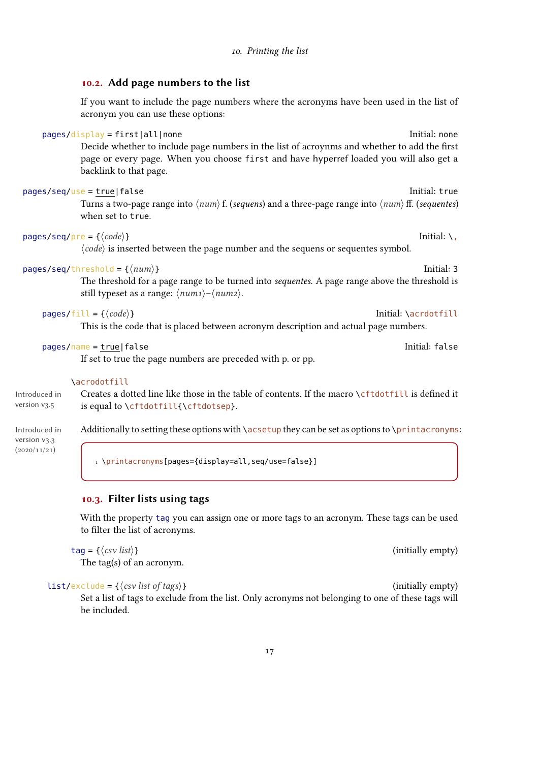## <span id="page-16-2"></span><span id="page-16-0"></span>10.2. Add page numbers to the list If you want to include the page numbers where the acronyms have been used in the list of acronym you can use these options: pages/display = first|all|none Initial: none Decide whether to include page numbers in the list of acroynms and whether to add the first page or every page. When you choose first and have hyperref loaded you will also get a backlink to that page. pages/seq/use = true|false Initial: true Initial: true Turns a two-page range into  $\langle num \rangle$  f. (sequens) and a three-page range into  $\langle num \rangle$  ff. (sequentes) when set to true.  $pages/seq/pre = {\langle code \rangle}$ ⟨code⟩ is inserted between the page number and the sequens or sequentes symbol.  $pages/seq/threshold = \{\langle num \rangle\}$ The threshold for a page range to be turned into sequentes. A page range above the threshold is still typeset as a range:  $\langle num_1 \rangle - \langle num_2 \rangle$ .  $pages/fill = {\langle code \rangle}$ This is the code that is placed between acronym description and actual page numbers. pages/name = true|false Initial: false If set to true the page numbers are preceded with p. or pp. \acrodotfill

Introduced in version v3.5 Creates a dotted line like those in the table of contents. If the macro \cftdotfill is defined it is equal to \cftdotfill{\cftdotsep}.

version v3.3  $(2020/11/21)$ 

Introduced in Additionally to setting these options with **\acsetup they can be set as options to \printacronyms**:

1 \printacronyms[pages={display=all,seq/use=false}]

#### <span id="page-16-1"></span>10.3. Filter lists using tags

With the property tag you can assign one or more tags to an acronym. These tags can be used to filter the list of acronyms.

 $\text{tag} = \{\langle \text{csv} \text{ list} \rangle\}$  (initially empty)

The tag(s) of an acronym.

#### $list/exclude = \{\langle csv \text{ list of tags}\rangle\}$  (initially empty)

Set a list of tags to exclude from the list. Only acronyms not belonging to one of these tags will be included.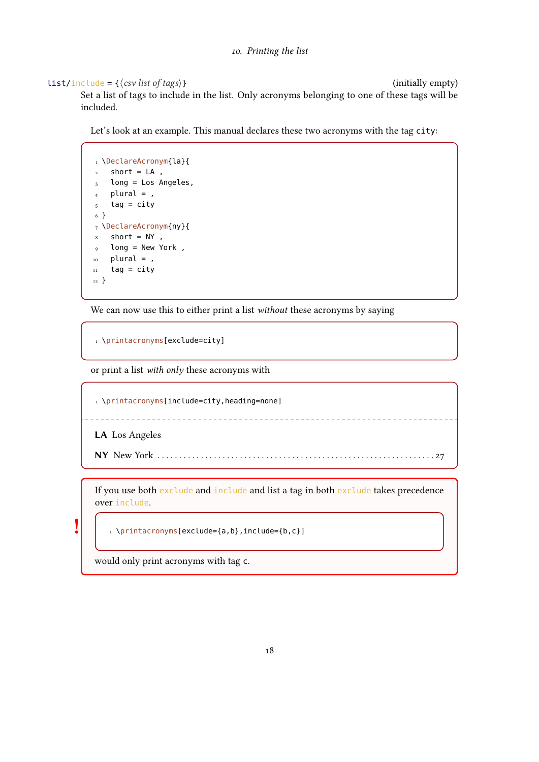#### $list/include = {\langle \cos \textit{list} \textit{of} \textit{tags} \rangle}$

<span id="page-17-1"></span>Set a list of tags to include in the list. Only acronyms belonging to one of these tags will be included.

Let's look at an example. This manual declares these two acronyms with the tag city:

```
1 \DeclareAcronym{la}{
2 short = LA ,
3 long = Los Angeles,
_4 plural = ,
5 tag = city
6 }
7 \DeclareAcronym{ny}{
8 short = NY,
9 long = New York ,
_{10} plural = ,
11 tag = city
12 }
```
We can now use this to either print a list *without* these acronyms by saying

```
1 \printacronyms[exclude=city]
```
or print a list with only these acronyms with

1 \printacronyms[include=city,heading=none] LA Los Angeles NY New York . . . . . . . . . . . . . . . . . . . . . . . . . . . . . . . . . . . . . . . . . . . . . . . . . . . . . . . . . . . . . . . . [27](#page-26-0)

<span id="page-17-0"></span>If you use both exclude and include and list a tag in both exclude takes precedence over include.

1 \printacronyms[exclude={a,b},include={b,c}]

would only print acronyms with tag c.

!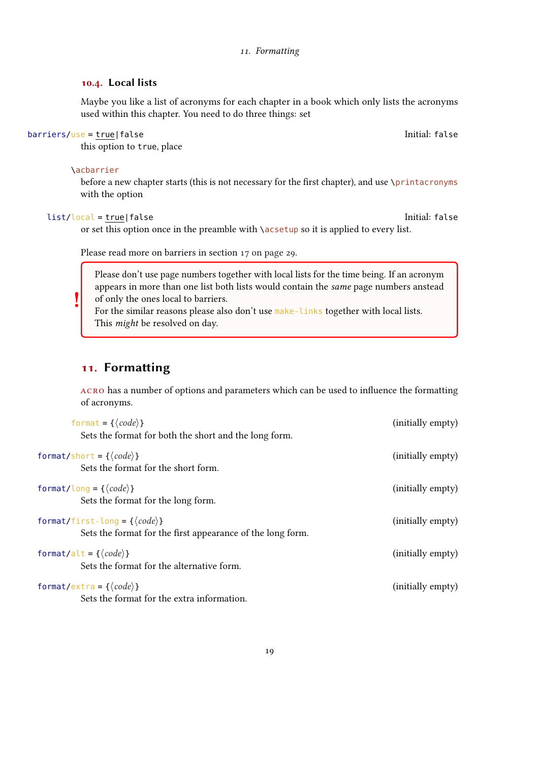#### 11. Formatting

#### <span id="page-18-2"></span><span id="page-18-0"></span>10.4. Local lists

Maybe you like a list of acronyms for each chapter in a book which only lists the acronyms used within this chapter. You need to do three things: set

#### barriers/use = true|false Initial: false

this option to true, place

#### \acbarrier

before a new chapter starts (this is not necessary for the first chapter), and use \printacronyms with the option

#### list/local = true|false Initial: false

!

or set this option once in the preamble with  $\a$ csetup so it is applied to every list.

Please read more on barriers in section [17 on page 29.](#page-28-0)

Please don't use page numbers together with local lists for the time being. If an acronym appears in more than one list both lists would contain the same page numbers anstead of only the ones local to barriers.

For the similar reasons please also don't use make-links together with local lists. This might be resolved on day.

## <span id="page-18-1"></span>11. Formatting

acro has a number of options and parameters which can be used to influence the formatting of acronyms.

| format = { $\langle code \rangle$ }<br>Sets the format for both the short and the long form.                 | (initially empty) |
|--------------------------------------------------------------------------------------------------------------|-------------------|
| format/short = { $\langle code \rangle$ }<br>Sets the format for the short form.                             | (initially empty) |
| format/long = { $\langle code \rangle$ }<br>Sets the format for the long form.                               | (initially empty) |
| format/first-long = { $\langle code \rangle$ }<br>Sets the format for the first appearance of the long form. | (initially empty) |
| format/alt = { $\langle code \rangle$ }<br>Sets the format for the alternative form.                         | (initially empty) |
| format/extra = { $\langle code \rangle$ }<br>Sets the format for the extra information.                      | (initially empty) |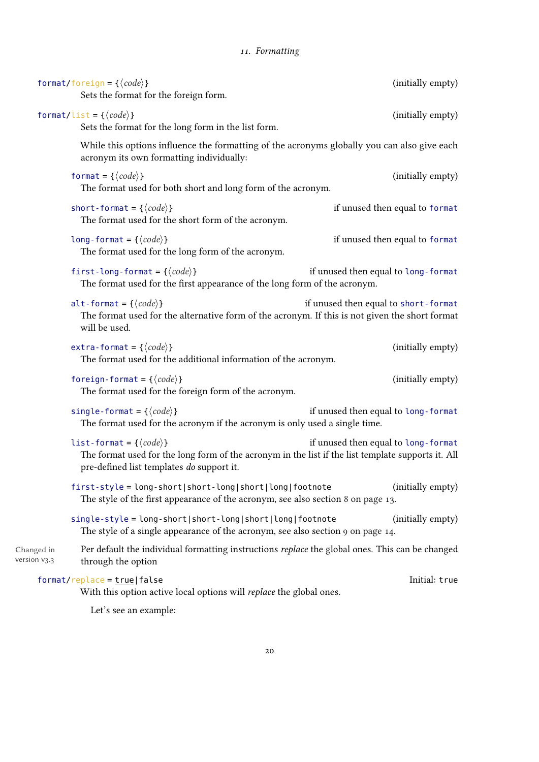<span id="page-19-0"></span>

|                            | format/foreign = { $\langle code \rangle$ }<br>Sets the format for the foreign form.                                                                                                        | (initially empty)                    |
|----------------------------|---------------------------------------------------------------------------------------------------------------------------------------------------------------------------------------------|--------------------------------------|
|                            | format/list = { $\langle code \rangle$ }<br>Sets the format for the long form in the list form.                                                                                             | (initially empty)                    |
|                            | While this options influence the formatting of the acronyms globally you can also give each<br>acronym its own formatting individually:                                                     |                                      |
|                            | format = { $\langle code \rangle$ }<br>The format used for both short and long form of the acronym.                                                                                         | (initially empty)                    |
|                            | short-format = { $\langle code \rangle$ }<br>The format used for the short form of the acronym.                                                                                             | if unused then equal to format       |
|                            | long-format = { $\langle code \rangle$ }<br>The format used for the long form of the acronym.                                                                                               | if unused then equal to format       |
|                            | first-long-format = { $\langle code \rangle$ }<br>The format used for the first appearance of the long form of the acronym.                                                                 | if unused then equal to long-format  |
|                            | alt-format = { $\langle code \rangle$ }<br>The format used for the alternative form of the acronym. If this is not given the short format<br>will be used.                                  | if unused then equal to short-format |
|                            | extra-format = { $\langle code \rangle$ }<br>The format used for the additional information of the acronym.                                                                                 | (initially empty)                    |
|                            | foreign-format = { $\langle code \rangle$ }<br>The format used for the foreign form of the acronym.                                                                                         | (initially empty)                    |
|                            | single-format = { $\langle code \rangle$ }<br>The format used for the acronym if the acronym is only used a single time.                                                                    | if unused then equal to long-format  |
|                            | list-format = { $\langle code \rangle$ }<br>The format used for the long form of the acronym in the list if the list template supports it. All<br>pre-defined list templates do support it. | if unused then equal to long-format  |
|                            | first-style = long-short short-long short long footnote<br>The style of the first appearance of the acronym, see also section 8 on page 13.                                                 | (initially empty)                    |
|                            | single-style = long-short short-long short long footnote<br>The style of a single appearance of the acronym, see also section 9 on page 14.                                                 | (initially empty)                    |
| Changed in<br>version v3.3 | Per default the individual formatting instructions replace the global ones. This can be changed<br>through the option                                                                       |                                      |
|                            | $format/replace = true   false$<br>With this option active local options will replace the global ones.                                                                                      | Initial: true                        |
|                            |                                                                                                                                                                                             |                                      |

Let's see an example: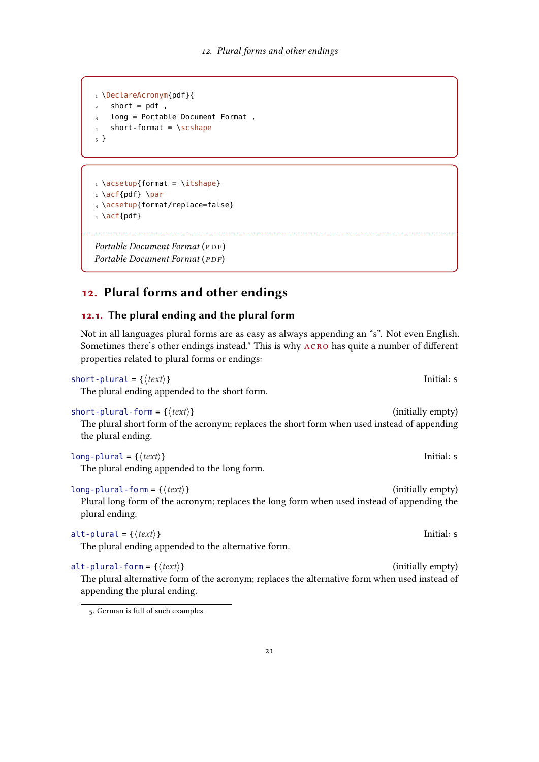```
1 \DeclareAcronym{pdf}{
   short = pdf,
3 long = Portable Document Format,
   short-format = \simeq5 }
```

```
\iota \acsetup{format = \itshape}
2 \ \left\{pdf\} \ \right\}3 \acsetup{format/replace=false}
_4 \setminus \textsf{act}\{\textsf{pdf}\}\
```

```
Portable Document Format (PDF)
(PDF)
```
## <span id="page-20-0"></span>12. Plural forms and other endings

#### <span id="page-20-1"></span>12.1. The plural ending and the plural form

Not in all languages plural forms are as easy as always appending an "s". Not even English. Sometimes there's other endings instead.<sup>5</sup> This is why ACRO has quite a number of different properties related to plural forms or endings:

\_\_\_\_\_\_\_\_\_\_\_\_\_\_\_\_\_\_\_\_\_\_\_\_\_\_\_\_

 $short$ -plural = { $\langle text \rangle$ }

The plural ending appended to the short form.

short-plural-form =  $\{\langle text \rangle\}$  (initially empty)

The plural short form of the acronym; replaces the short form when used instead of appending the plural ending.

 $long$ -plural = { $\langle text \rangle$ } Initial: s

The plural ending appended to the long form.

 $long$ -plural-form = { $\langle text \rangle$ } (initially empty) Plural long form of the acronym; replaces the long form when used instead of appending the

plural ending.

The plural ending appended to the alternative form.

alt-plural-form = { $\langle text \rangle$ } (initially empty) The plural alternative form of the acronym; replaces the alternative form when used instead of appending the plural ending.

alt-plural =  $\{\langle text \rangle\}$ 

<span id="page-20-2"></span><sup>5.</sup> German is full of such examples.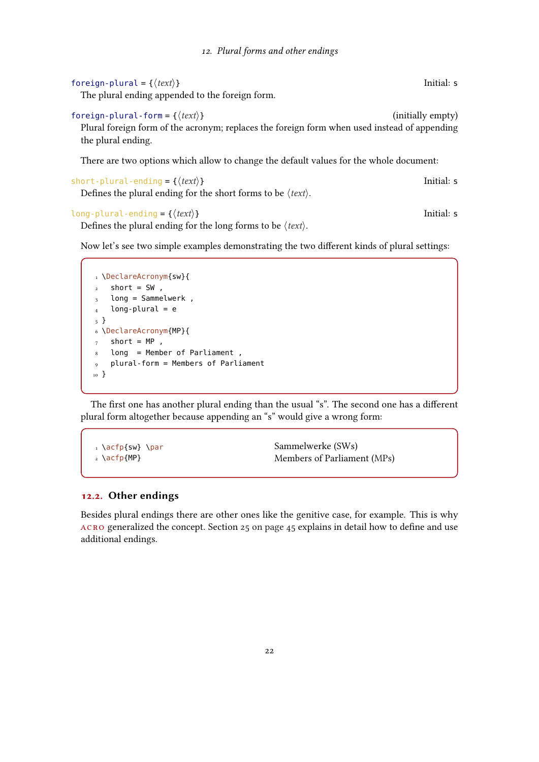<span id="page-21-1"></span>

| foreign-plural = { $\langle text \rangle$ }     | Initial: s |
|-------------------------------------------------|------------|
| The plural ending appended to the foreign form. |            |

foreign-plural-form = { $\langle text \rangle$ } (initially empty) Plural foreign form of the acronym; replaces the foreign form when used instead of appending the plural ending.

There are two options which allow to change the default values for the whole document:

short-plural-ending = { $\langle text \rangle$ }

Defines the plural ending for the short forms to be  $\langle text \rangle$ .

#### long-plural-ending = { $\langle text \rangle$ }

```
Defines the plural ending for the long forms to be \langle text \rangle.
```
Now let's see two simple examples demonstrating the two different kinds of plural settings:

```
1 \DeclareAcronym{sw}{
2 short = SW,
3 long = Sammelwerk,
_4 long-plural = e
5 }
6 \DeclareAcronym{MP}{
7 short = MP,
8 long = Member of Parliament ,
9 plural-form = Members of Parliament
10 }
```
The first one has another plural ending than the usual "s". The second one has a different plural form altogether because appending an "s" would give a wrong form:

```
1 \acfp{sw} \par
2 \acfp{MP}
                                         Sammelwerke (SWs)
                                         Members of Parliament (MPs)
```
#### <span id="page-21-0"></span>12.2. Other endings

Besides plural endings there are other ones like the genitive case, for example. This is why acro generalized the concept. Section [25 on page 45](#page-44-1) explains in detail how to define and use additional endings.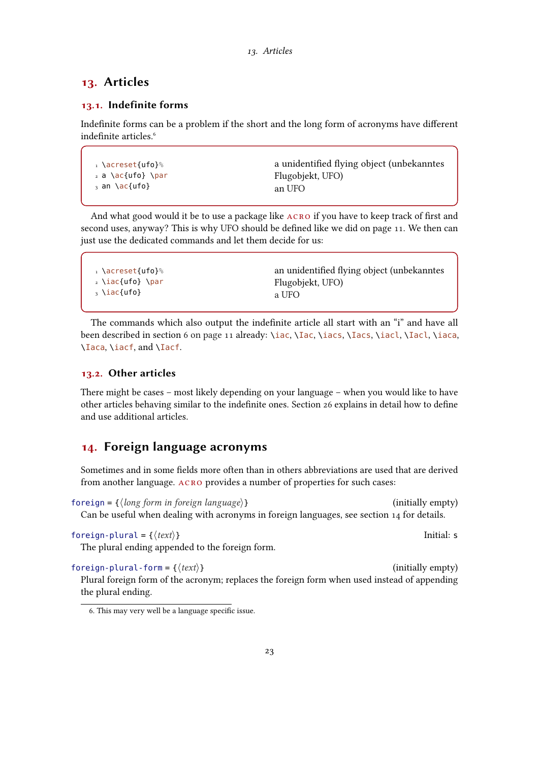## <span id="page-22-5"></span><span id="page-22-0"></span>13. Articles

#### <span id="page-22-1"></span>13.1. Indefinite forms

Indefinite forms can be a problem if the short and the long form of acronyms have different indefinite articles<sup>6</sup>

```
1 \acreset{ufo}%
2 a \setminus ac{ufo} \setminus par_3 an \ac{ufo}a unidentified flying object (unbekanntes
                                            UFO)
                                             an UFO
```
And what good would it be to use a package like acro if you have to keep track of first and second uses, anyway? This is why [UFO](#page-57-5) should be defined like we did on page [11.](#page-10-0) We then can just use the dedicated commands and let them decide for us:

The commands which also output the indefinite article all start with an "i" and have all been described in section [6 on page 11](#page-10-0) already: \iac, \Iac, \iacs, \Iacs, \iacl, \Iacl, \iaca, \Iaca, \iacf, and \Iacf.

#### <span id="page-22-2"></span>13.2. Other articles

There might be cases – most likely depending on your language – when you would like to have other articles behaving similar to the indefinite ones. Section [26](#page-46-0) explains in detail how to define and use additional articles.

## <span id="page-22-3"></span>14. Foreign language acronyms

Sometimes and in some fields more often than in others abbreviations are used that are derived from another language. acro provides a number of properties for such cases:

 $\text{foreign} = \{\langle \text{long form in foreign language} \rangle\}$  (initially empty) Can be useful when dealing with acronyms in foreign languages, see section [14](#page-22-3) for details.

foreign-plural = { $\{ \text{text} \}$ }

The plural ending appended to the foreign form.

foreign-plural-form =  $\{\langle text \rangle\}$  (initially empty) Plural foreign form of the acronym; replaces the foreign form when used instead of appending the plural ending.

<span id="page-22-4"></span><sup>6.</sup> This may very well be a language specific issue.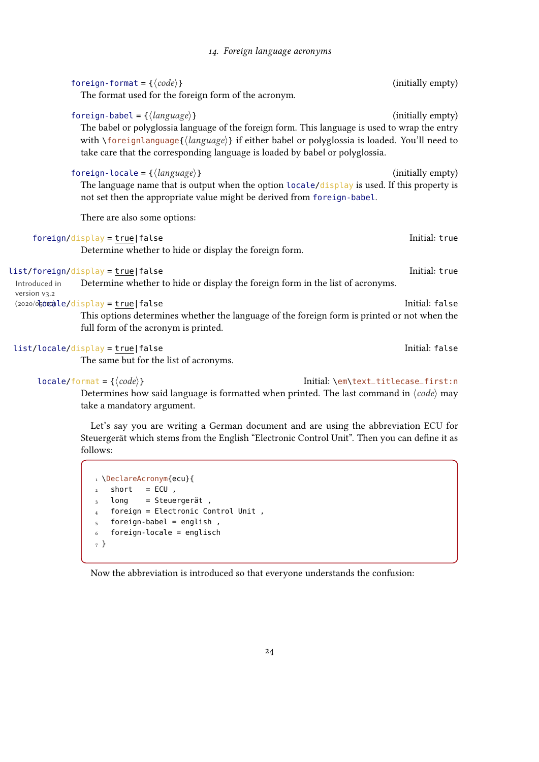<span id="page-23-0"></span>

|                               | foreign-format = { $\langle code \rangle$ }                                                                                                                                                                                                                                                                                         | (initially empty)                   |
|-------------------------------|-------------------------------------------------------------------------------------------------------------------------------------------------------------------------------------------------------------------------------------------------------------------------------------------------------------------------------------|-------------------------------------|
|                               | The format used for the foreign form of the acronym.                                                                                                                                                                                                                                                                                |                                     |
|                               | foreign-babel = ${\langle \text{language} \rangle}$<br>The babel or polyglossia language of the foreign form. This language is used to wrap the entry<br>with \foreignlanguage{(language)} if either babel or polyglossia is loaded. You'll need to<br>take care that the corresponding language is loaded by babel or polyglossia. | (initially empty)                   |
|                               | foreign-locale = ${\langle \text{language} \rangle}$<br>The language name that is output when the option locale/display is used. If this property is<br>not set then the appropriate value might be derived from foreign-babel.                                                                                                     | (initially empty)                   |
|                               | There are also some options:                                                                                                                                                                                                                                                                                                        |                                     |
|                               | $foreign/display = true false$<br>Determine whether to hide or display the foreign form.                                                                                                                                                                                                                                            | Initial: true                       |
| Introduced in<br>version v3.2 | list/foreign/display = true false<br>Determine whether to hide or display the foreign form in the list of acronyms.                                                                                                                                                                                                                 | Initial: true                       |
|                               | (2020/06000)le/display = true false<br>This options determines whether the language of the foreign form is printed or not when the<br>full form of the acronym is printed.                                                                                                                                                          | Initial: false                      |
|                               | list/locale/display = true false<br>The same but for the list of acronyms.                                                                                                                                                                                                                                                          | Initial: false                      |
|                               | $locale/format = \{\langle code \rangle\}$<br>Determines how said language is formatted when printed. The last command in $\langle code \rangle$ may                                                                                                                                                                                | Initial: \em\text_titlecase_first:n |

Determines how said language is formatted when printed. The last command in  $\langle code \rangle$  may take a mandatory argument.

Let's say you are writing a German document and are using the abbreviation [ECU](#page-56-7) for Steuergerät which stems from the English "Electronic Control Unit". Then you can define it as follows:

 \DeclareAcronym{ecu}{ short = ECU, long = Steuergerät, foreign = Electronic Control Unit , foreign-babel = english, foreign-locale = englisch 7 }

Now the abbreviation is introduced so that everyone understands the confusion: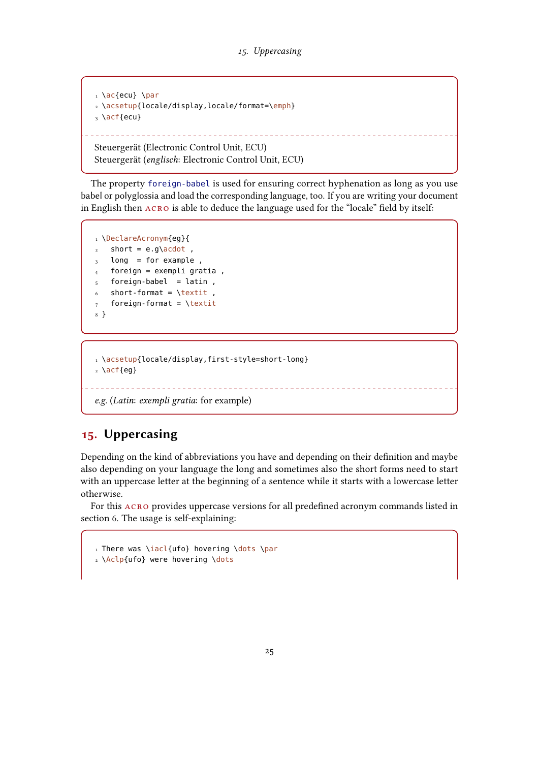```
\frac{1}{1} \left\{ ecu \right\} \par
2 \acsetup{locale/display,locale/format=\emph}
3 \acf{ecu}
                                                   Steuergerät (Electronic Control Unit, ECU)
Steuergerät (englisch: Electronic Control Unit, ECU)
```
The property foreign-babel is used for ensuring correct hyphenation as long as you use babel or polyglossia and load the corresponding language, too. If you are writing your document in English then acro is able to deduce the language used for the "locale" field by itself:

```
1 \DeclareAcronym{eg}{
2 short = e.g\acdot
  long = for example,
4 foreign = exempli gratia,
5 foreign-babel = latin,
6 short-format = \text{texti}7 foreign-format = \textit
8 }
```

```
1 \acsetup{locale/display,first-style=short-long}
2 \ \text{acf{eg}}__________________
```

```
e.g. (Latin: exempli gratia: for example)
```
## <span id="page-24-0"></span>15. Uppercasing

Depending on the kind of abbreviations you have and depending on their definition and maybe also depending on your language the long and sometimes also the short forms need to start with an uppercase letter at the beginning of a sentence while it starts with a lowercase letter otherwise.

For this acro provides uppercase versions for all predefined acronym commands listed in section [6.](#page-10-0) The usage is self-explaining:

```
1 There was \iacl{ufo} hovering \dots \par
2 \Aclp{ufo} were hovering \dots
```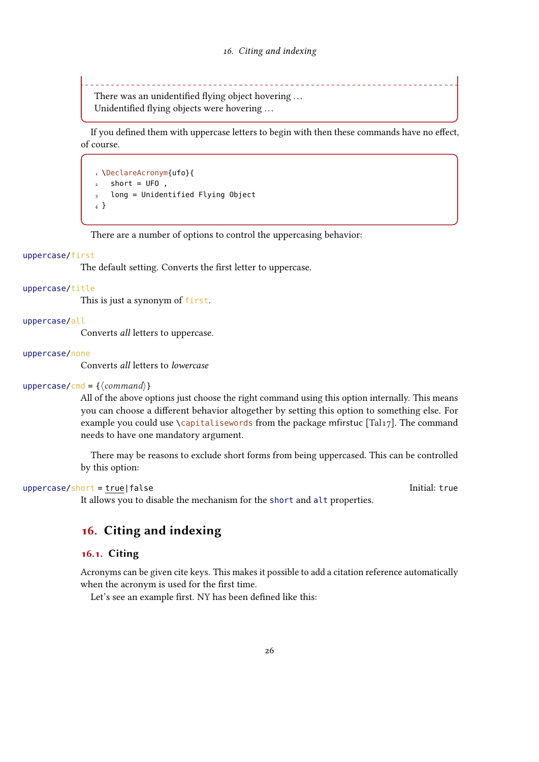<span id="page-25-2"></span>There was an unidentified flying object hovering ... Unidentified flying objects were hovering ...

If you defined them with uppercase letters to begin with then these commands have no effect, of course.

```
1 \DeclareAcronym{ufo}{
2 short = UFO,
  long = Unidentified Flying Object
4 }
```
There are a number of options to control the uppercasing behavior:

#### uppercase/first

The default setting. Converts the first letter to uppercase.

#### uppercase/title

This is just a synonym of first.

#### uppercase/all

Converts all letters to uppercase.

#### uppercase/none

Converts all letters to lowercase

#### uppercase/cmd =  $\{\langle command \rangle\}$

All of the above options just choose the right command using this option internally. This means you can choose a different behavior altogether by setting this option to something else. For example you could use \capitalisewords from the package mfirstuc [\[Tal17\]](#page-57-6). The command needs to have one mandatory argument.

There may be reasons to exclude short forms from being uppercased. This can be controlled by this option:

#### $uppercase/short = true | false$

It allows you to disable the mechanism for the short and alt properties.

## <span id="page-25-0"></span>16. Citing and indexing

#### <span id="page-25-1"></span>16.1. Citing

Acronyms can be given cite keys. This makes it possible to add a citation reference automatically when the acronym is used for the first time.

Let's see an example first. [NY](#page-17-0) has been defined like this: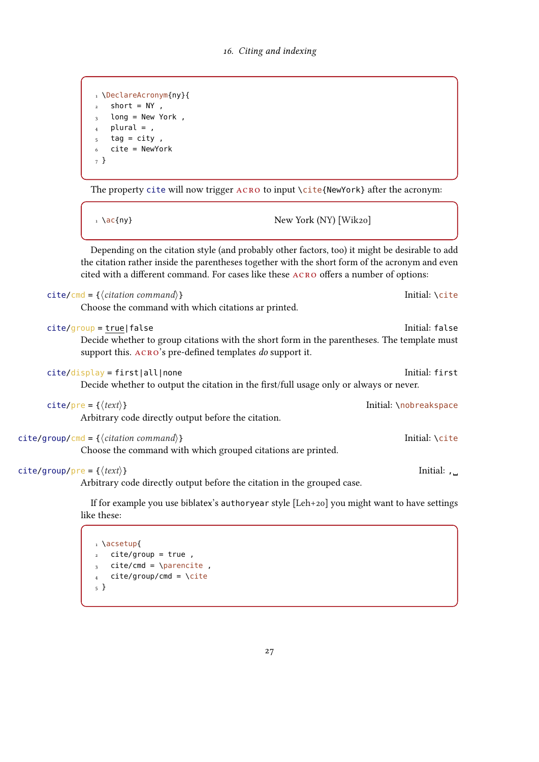```
1 \DeclareAcronym{ny}{
2 short = NY,
3 long = New York,
_4 plural = ,
5 tag = city,
6 cite = NewYork
7 }
```
The property cite will now trigger ACRO to input \cite{NewYork} after the acronym:

 $1 \ \text{GeV}$  New York [\(NY\)](#page-17-0) [\[Wik20\]](#page-57-7)

Depending on the citation style (and probably other factors, too) it might be desirable to add the citation rather inside the parentheses together with the short form of the acronym and even cited with a different command. For cases like these acro offers a number of options:

|                                             | $cite/cmd = {\langle citation\ command \rangle}$                                                                                                         | Initial: \cite         |
|---------------------------------------------|----------------------------------------------------------------------------------------------------------------------------------------------------------|------------------------|
|                                             | Choose the command with which citations ar printed.                                                                                                      |                        |
|                                             | $cite/group = true   false$                                                                                                                              | Initial: false         |
|                                             | Decide whether to group citations with the short form in the parentheses. The template must<br>support this. ACRO's pre-defined templates do support it. |                        |
|                                             | $cite/display = first all none$                                                                                                                          | Initial: first         |
|                                             | Decide whether to output the citation in the first/full usage only or always or never.                                                                   |                        |
|                                             | cite/pre = { $\langle text \rangle$ }                                                                                                                    | Initial: \nobreakspace |
|                                             | Arbitrary code directly output before the citation.                                                                                                      |                        |
|                                             | $cite/group/cmd = {\langle citation\text{ }command\rangle\rangle}$                                                                                       | Initial: \cite         |
|                                             | Choose the command with which grouped citations are printed.                                                                                             |                        |
| $cite/group/pre = \{\langle text \rangle\}$ |                                                                                                                                                          | Initial: ,             |
|                                             | Arbitrary code directly output before the citation in the grouped case.                                                                                  |                        |
|                                             | If for example you use biblatex's authoryear style $[Leh+20]$ you might want to have settings<br>$1 \cdot 1$ $\cdot 1$                                   |                        |

like these:

1 \acsetup{  $2$  cite/group = true,  $3$  cite/cmd = \parencite, 4 cite/group/cmd =  $\text{cite}$ 5 }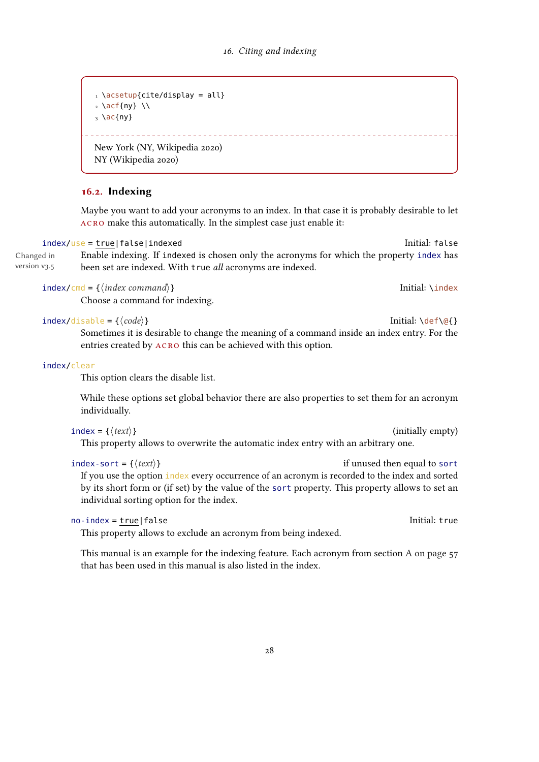```
\frac{1}{1} \text{acceptup}{cite/display = all}
2 \ \left\{ \frac{ny}{y} \right\}3 \ \text{ac}{ny}
        New York (NY, Wikipedia 2020)
NY (Wikipedia 2020)
```
#### <span id="page-27-0"></span>16.2. Indexing

Maybe you want to add your acronyms to an index. In that case it is probably desirable to let acro make this automatically. In the simplest case just enable it:

index/use = true|false|indexed initial: false

Changed in version v3.5 Enable indexing. If indexed is chosen only the acronyms for which the property index has been set are indexed. With true all acronyms are indexed.

index/cmd = { $\langle index \rangle$ } Initial: \index command}}

Choose a command for indexing.

 $index/disable = {\langle code \rangle}$ 

Sometimes it is desirable to change the meaning of a command inside an index entry. For the entries created by acro this can be achieved with this option.

#### index/clear

This option clears the disable list.

While these options set global behavior there are also properties to set them for an acronym individually.

```
index = {\langle \text{text} \rangle} (initially empty)
 This property allows to overwrite the automatic index entry with an arbitrary one.
```

| index-sort = { $\langle \text{text} \rangle$ }                                                  | if unused then equal to sort |
|-------------------------------------------------------------------------------------------------|------------------------------|
| If you use the option index every occurrence of an acronym is recorded to the index and sorted  |                              |
| by its short form or (if set) by the value of the sort property. This property allows to set an |                              |
| individual sorting option for the index.                                                        |                              |

```
no-index = true|false Initial: true Initial: true Initial: true
```
This property allows to exclude an acronym from being indexed.

This manual is an example for the indexing feature. Each acronym from section [A on page 57](#page-56-1) that has been used in this manual is also listed in the index.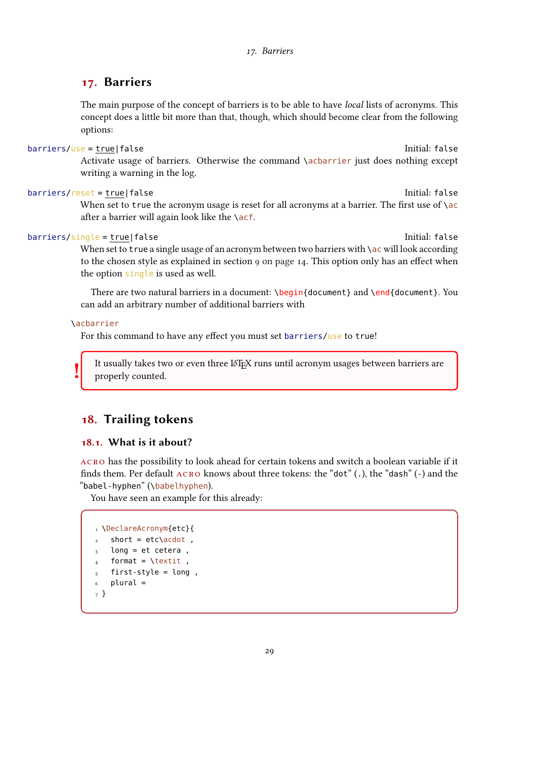### <span id="page-28-3"></span><span id="page-28-0"></span>17. Barriers

The main purpose of the concept of barriers is to be able to have local lists of acronyms. This concept does a little bit more than that, though, which should become clear from the following options:

#### barriers/use = true|false Initial: false Initial: false

Activate usage of barriers. Otherwise the command \acbarrier just does nothing except writing a warning in the log.

#### barriers/reset = true|false Initial: false

When set to true the acronym usage is reset for all acronyms at a barrier. The first use of  $\setminus$  ac after a barrier will again look like the  $\setminus$ acf.

#### barriers/single = true|false Initial: false Initial: false

When set to true a single usage of an acronym between two barriers with \ac will look according to the chosen style as explained in section [9 on page 14.](#page-13-0) This option only has an effect when the option single is used as well.

There are two natural barriers in a document: \begin{document} and \end{document}. You can add an arbitrary number of additional barriers with

#### \acbarrier

!

For this command to have any effect you must set barriers/use to true!

It usually takes two or even three LATEX runs until acronym usages between barriers are properly counted.

## <span id="page-28-1"></span>18. Trailing tokens

#### <span id="page-28-2"></span>18.1. What is it about?

acro has the possibility to look ahead for certain tokens and switch a boolean variable if it finds them. Per default acro knows about three tokens: the "dot" (.), the "dash" (-) and the "babel-hyphen" (\babelhyphen).

You have seen an example for this already:

```
1 \DeclareAcronym{etc}{
2 short = etc\acdot,
3 long = et cetera,
  format = \text{texti}5 first-style = long ,
   plural =7 }
```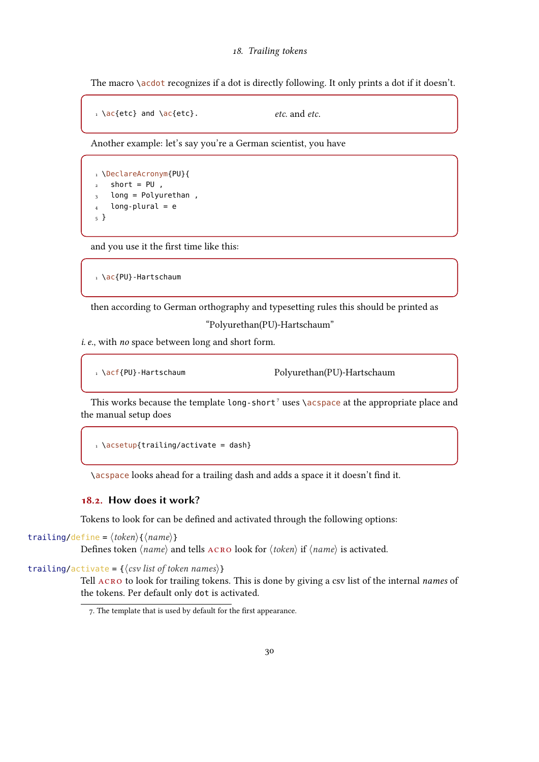#### 18. Trailing tokens

<span id="page-29-2"></span>The macro \acdot recognizes if a dot is directly following. It only prints a dot if it doesn't.

```
1 \ \text{ac}etc} and \text{ac}etc. and etc.
```
Another example: let's say you're a German scientist, you have

```
1 \DeclareAcronym{PU}{
2 short = PU,
3 long = Polyurethan,
   long-plural = e5 }
```
and you use it the first time like this:

```
1 \ac{PU}-Hartschaum
```
then according to German orthography and typesetting rules this should be printed as

"Polyurethan(PU)-Hartschaum"

i. e., with no space between long and short form.

1 \acf{PU}-Hartschaum Polyurethan(PU)-Hartschaum

This works because the template long-short<sup>[7](#page-29-1)</sup> uses  $\a$ s and the appropriate place and the manual setup does

```
\frac{1}{1} \text{acceptup}{trailing/activate = dash}
```
\acspace looks ahead for a trailing dash and adds a space it it doesn't find it.

#### <span id="page-29-0"></span>18.2. How does it work?

Tokens to look for can be defined and activated through the following options:

```
trailing/define = \langle \textit{token} \rangle{\langle \textit{name} \rangle}
```
Defines token  $\langle name \rangle$  and tells  $\angle$ ACRO look for  $\langle token \rangle$  if  $\langle name \rangle$  is activated.

trailing/activate =  $\{\langle \text{csv} \text{ list of token names} \rangle\}$ 

Tell ACRO to look for trailing tokens. This is done by giving a csv list of the internal names of the tokens. Per default only dot is activated.

<span id="page-29-1"></span><sup>7.</sup> The template that is used by default for the first appearance.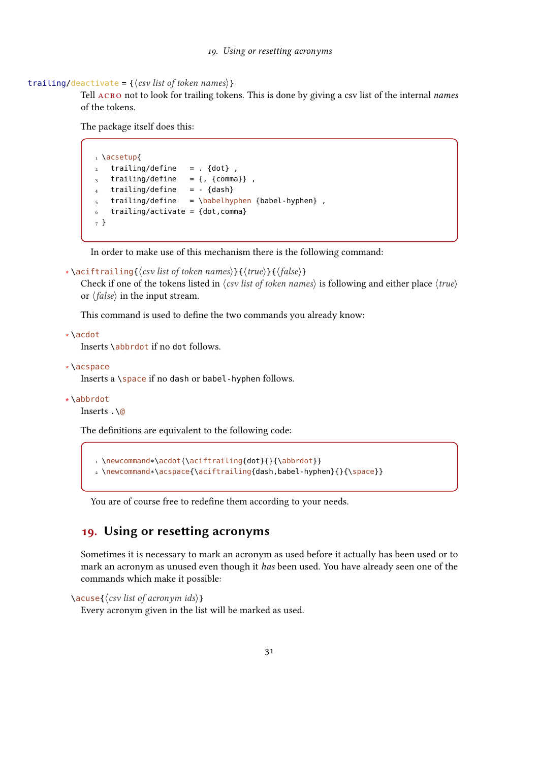#### 19. Using or resetting acronyms

trailing/deactivate =  $\{\langle csv \rangle\}$ 

<span id="page-30-1"></span>Tell ACRO not to look for trailing tokens. This is done by giving a csv list of the internal names of the tokens.

The package itself does this:

```
1 \acsetup{
2 trailing/define = . {dot},
3 trailing/define = {, {comma}},
4 trailing/define = - {dash}
5 trailing/define = \babelhyphen {babel-hyphen},
   6 trailing/activate = {dot,comma}
7 }
```
In order to make use of this mechanism there is the following command:

```
∗ \aciftrailing{⟨csv list of token names⟩}{⟨true⟩}{⟨false⟩}
```
Check if one of the tokens listed in  $\langle$ csv list of token names $\rangle$  is following and either place  $\langle$ true $\rangle$ or  $\langle false \rangle$  in the input stream.

This command is used to define the two commands you already know:

```
∗ \acdot
```
Inserts \abbrdot if no dot follows.

```
∗ \acspace
```
Inserts a \space if no dash or babel-hyphen follows.

```
∗ \abbrdot
```
Inserts .\@

The definitions are equivalent to the following code:

```
1 \newcommand*\acdot{\aciftrailing{dot}{}{\abbrdot}}
2 \newcommand*\acspace{\aciftrailing{dash,babel-hyphen}{}{\space}}
```
You are of course free to redefine them according to your needs.

## <span id="page-30-0"></span>19. Using or resetting acronyms

Sometimes it is necessary to mark an acronym as used before it actually has been used or to mark an acronym as unused even though it has been used. You have already seen one of the commands which make it possible:

```
\{\cos\theta(s) \mid \sin\theta(s) \}
```
Every acronym given in the list will be marked as used.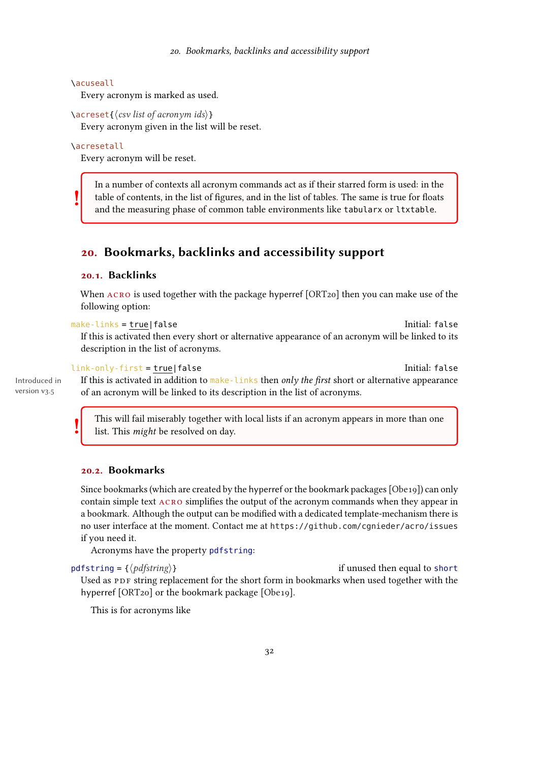#### <span id="page-31-3"></span>\acuseall

Every acronym is marked as used.

```
\acreset{⟨csv list of acronym ids⟩}
```
Every acronym given in the list will be reset.

\acresetall

!

!

Every acronym will be reset.

In a number of contexts all acronym commands act as if their starred form is used: in the table of contents, in the list of figures, and in the list of tables. The same is true for floats and the measuring phase of common table environments like tabularx or ltxtable.

## <span id="page-31-0"></span>20. Bookmarks, backlinks and accessibility support

#### <span id="page-31-1"></span>20.1. Backlinks

When ACRO is used together with the package hyperref [\[ORT20\]](#page-57-1) then you can make use of the following option:

make-links = true|false Initial: false If this is activated then every short or alternative appearance of an acronym will be linked to its description in the list of acronyms.

#### link-only-first = true|false Initial: false

Introduced in version v3.5

If this is activated in addition to  $\frac{make-links}{}$  then only the first short or alternative appearance of an acronym will be linked to its description in the list of acronyms.

This will fail miserably together with local lists if an acronym appears in more than one list. This might be resolved on day.

#### <span id="page-31-2"></span>20.2. Bookmarks

Since bookmarks (which are created by the hyperref or the bookmark packages [\[Obe19\]](#page-57-2)) can only contain simple text acro simplifies the output of the acronym commands when they appear in a bookmark. Although the output can be modified with a dedicated template-mechanism there is no user interface at the moment. Contact me at <https://github.com/cgnieder/acro/issues> if you need it.

Acronyms have the property pdfstring:

pdfstring =  $\{\langle pdfstring \rangle\}$  if unused then equal to short Used as [PDF](#page-56-0) string replacement for the short form in bookmarks when used together with the hyperref [\[ORT20\]](#page-57-1) or the bookmark package [\[Obe19\]](#page-57-2).

This is for acronyms like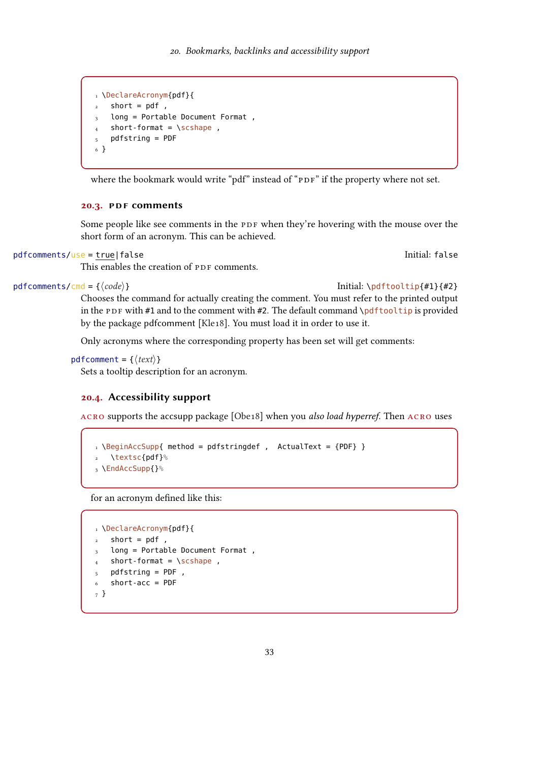```
1 \DeclareAcronym{pdf}{
2 short = pdf,
3 long = Portable Document Format,
   short-format = \simeq5 pdfstring = PDF
6 }
```
where the bookmark would write "pdf" instead of "PDF" if the property where not set.

#### <span id="page-32-0"></span>20.3. PDF comments

Some people like see comments in the [PDF](#page-56-0) when they're hovering with the mouse over the short form of an acronym. This can be achieved.

```
pdfcomments/use = true|false Initial: false
```
This enables the creation of [PDF](#page-56-0) comments.

pdfcomments/cmd = { $\{code\}$ }  $[#1\{#2\}$ 

Chooses the command for actually creating the comment. You must refer to the printed output in the [PDF](#page-56-0) with #1 and to the comment with #2. The default command \pdftooltip is provided by the package pdfcomment [\[Kle18\]](#page-57-9). You must load it in order to use it.

Only acronyms where the corresponding property has been set will get comments:

```
pdfcomment = \{\langle text \rangle\}
```
Sets a tooltip description for an acronym.

#### <span id="page-32-1"></span>20.4. Accessibility support

acro supports the accsupp package [\[Obe18\]](#page-57-10) when you also load hyperref. Then acro uses

```
1 \BeginAccSupp{ method = pdfstringdef , ActualText = {PDF} }
2 \textsc{pdf}%
3 \EndAccSupp{}%
```
for an acronym defined like this:

```
1 \DeclareAcronym{pdf}{
2 short = pdf ,
3 long = Portable Document Format ,
4 short-format = \succeq \succeq short-format = \succeq5 pdfstring = PDF,
6 short-acc = PDF
7 }
```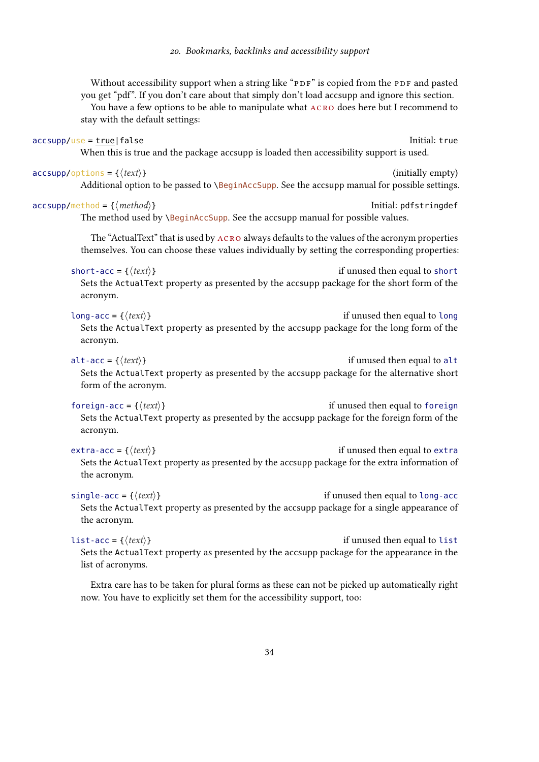<span id="page-33-0"></span>

| Without accessibility support when a string like "PDF" is copied from the PDF and pasted<br>you get "pdf". If you don't care about that simply don't load accsupp and ignore this section.<br>You have a few options to be able to manipulate what ACRO does here but I recommend to<br>stay with the default settings: |
|-------------------------------------------------------------------------------------------------------------------------------------------------------------------------------------------------------------------------------------------------------------------------------------------------------------------------|
| Initial: true<br>accsupp/use = true false<br>When this is true and the package accsupp is loaded then accessibility support is used.                                                                                                                                                                                    |
| $\textsf{accessupp}/\textsf{options} = \{\langle \textit{text}\rangle\}$<br>(initially empty)<br>Additional option to be passed to \BeginAccSupp. See the accsupp manual for possible settings.                                                                                                                         |
| $\texttt{accept}$ accsupp/method = { $\langle \textit{method} \rangle$ }<br>Initial: pdfstringdef<br>The method used by \BeginAccSupp. See the accsupp manual for possible values.                                                                                                                                      |
| The "ActualText" that is used by ACRO always defaults to the values of the acronym properties<br>themselves. You can choose these values individually by setting the corresponding properties:                                                                                                                          |
| short-acc = { $\langle text \rangle$ }<br>if unused then equal to short<br>Sets the ActualText property as presented by the accsupp package for the short form of the<br>acronym.                                                                                                                                       |
| long-acc = { $\langle text \rangle$ }<br>if unused then equal to long<br>Sets the ActualText property as presented by the accsupp package for the long form of the<br>acronym.                                                                                                                                          |
| alt-acc = { $\langle text \rangle$ }<br>if unused then equal to alt<br>Sets the ActualText property as presented by the accsupp package for the alternative short<br>form of the acronym.                                                                                                                               |
| foreign-acc = { $\langle text \rangle$ }<br>if unused then equal to foreign<br>Sets the ActualText property as presented by the accsupp package for the foreign form of the<br>acronym.                                                                                                                                 |
| $ext{ra-acc} = \{\langle text \rangle\}$<br>if unused then equal to extra<br>Sets the ActualText property as presented by the accsupp package for the extra information of<br>the acronym.                                                                                                                              |
| single-acc = { $\langle text \rangle$ }<br>if unused then equal to long-acc<br>Sets the ActualText property as presented by the accsupp package for a single appearance of<br>the acronym.                                                                                                                              |
| $\sim$ $\sim$ $\sim$ $\sim$                                                                                                                                                                                                                                                                                             |

list-acc = { $\langle text \rangle$ } Sets the ActualText property as presented by the accsupp package for the appearance in the list of acronyms.

Extra care has to be taken for plural forms as these can not be picked up automatically right now. You have to explicitly set them for the accessibility support, too: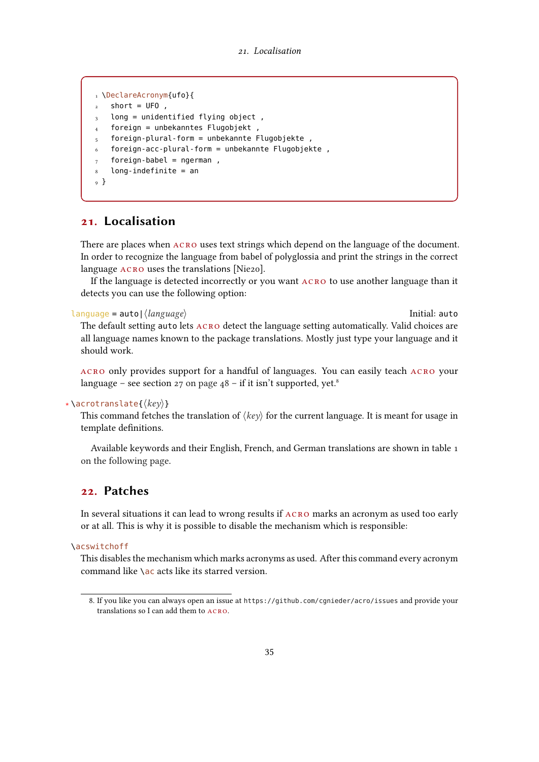```
1 \DeclareAcronym{ufo}{
2 short = UFO,
3 long = unidentified flying object,
  4 foreign = unbekanntes Flugobjekt ,
  5 foreign-plural-form = unbekannte Flugobjekte ,
6 foreign-acc-plural-form = unbekannte Flugobjekte ,
  foreign\text{-}label = ngerman,
  long-indefinite = an
9 }
```
## <span id="page-34-0"></span>21. Localisation

There are places when  $ACRO$  uses text strings which depend on the language of the document. In order to recognize the language from babel of polyglossia and print the strings in the correct language ACRO uses the translations [\[Nie20\]](#page-57-11).

If the language is detected incorrectly or you want acro to use another language than it detects you can use the following option:

#### language = auto|⟨language⟩ Initial: auto

The default setting auto lets acro detect the language setting automatically. Valid choices are all language names known to the package translations. Mostly just type your language and it should work.

acro only provides support for a handful of languages. You can easily teach acro your language – see section  $27$  on page  $48$  – if it isn't supported, yet.<sup>8</sup>

#### ∗ \acrotranslate{⟨key⟩}

This command fetches the translation of  $\langle \text{key} \rangle$  for the current language. It is meant for usage in template definitions.

Available keywords and their English, French, and German translations are shown in table [1](#page-35-0) [on the following page.](#page-35-0)

### <span id="page-34-1"></span>22. Patches

In several situations it can lead to wrong results if acro marks an acronym as used too early or at all. This is why it is possible to disable the mechanism which is responsible:

\acswitchoff

This disables the mechanism which marks acronyms as used. After this command every acronym command like \ac acts like its starred version.

<span id="page-34-2"></span><sup>8.</sup> If you like you can always open an issue at <https://github.com/cgnieder/acro/issues> and provide your translations so I can add them to acro.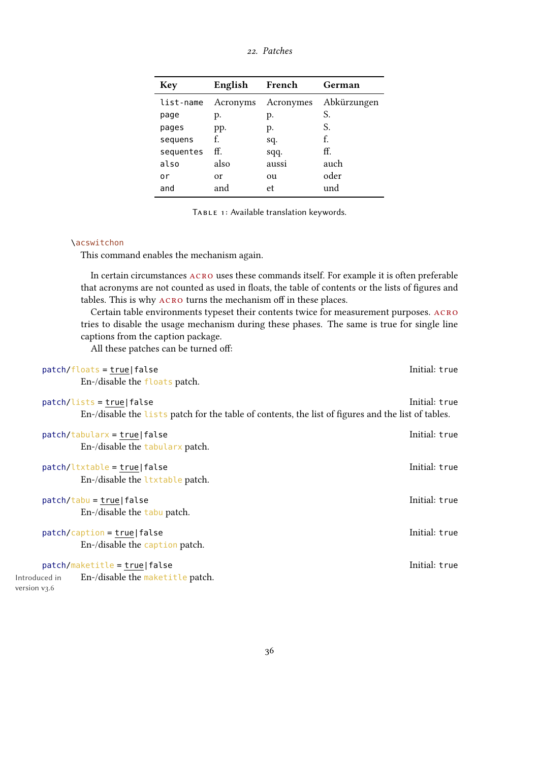<span id="page-35-1"></span>

| <b>Key</b> | English  | French    | German      |
|------------|----------|-----------|-------------|
| list-name  | Acronyms | Acronymes | Abkürzungen |
| page       | p.       | p.        | S.          |
| pages      | pp.      | p.        | S.          |
| sequens    | f.       | sq.       | f.          |
| sequentes  | ff.      | sqq.      | ff.         |
| also       | also     | aussi     | auch        |
| ٥r         | or       | ou        | oder        |
| and        | and      | et        | und         |
|            |          |           |             |

<span id="page-35-0"></span>TABLE 1: Available translation keywords.

#### \acswitchon

This command enables the mechanism again.

In certain circumstances  $ACRO$  uses these commands itself. For example it is often preferable that acronyms are not counted as used in floats, the table of contents or the lists of figures and tables. This is why acro turns the mechanism off in these places.

Certain table environments typeset their contents twice for measurement purposes. acro tries to disable the usage mechanism during these phases. The same is true for single line captions from the caption package.

All these patches can be turned off:

|                               | $patch/floads = true false$                                                                        | Initial: true |
|-------------------------------|----------------------------------------------------------------------------------------------------|---------------|
|                               | En-/disable the floats patch.                                                                      |               |
|                               | $patch/lists = true false$                                                                         | Initial: true |
|                               | En-/disable the lists patch for the table of contents, the list of figures and the list of tables. |               |
|                               | $patch/tabularx = true false$                                                                      | Initial: true |
|                               | En-/disable the tabularx patch.                                                                    |               |
|                               | $patch/l$ txtable = true false                                                                     | Initial: true |
|                               | En-/disable the ltxtable patch.                                                                    |               |
|                               | $patch / tabu = true   false$                                                                      | Initial: true |
|                               | En-/disable the tabu patch.                                                                        |               |
|                               | $patch/caption = true   false$                                                                     | Initial: true |
|                               | En-/disable the caption patch.                                                                     |               |
|                               | patch/maketitle = true false                                                                       | Initial: true |
| Introduced in<br>version v3.6 | En-/disable the maketitle patch.                                                                   |               |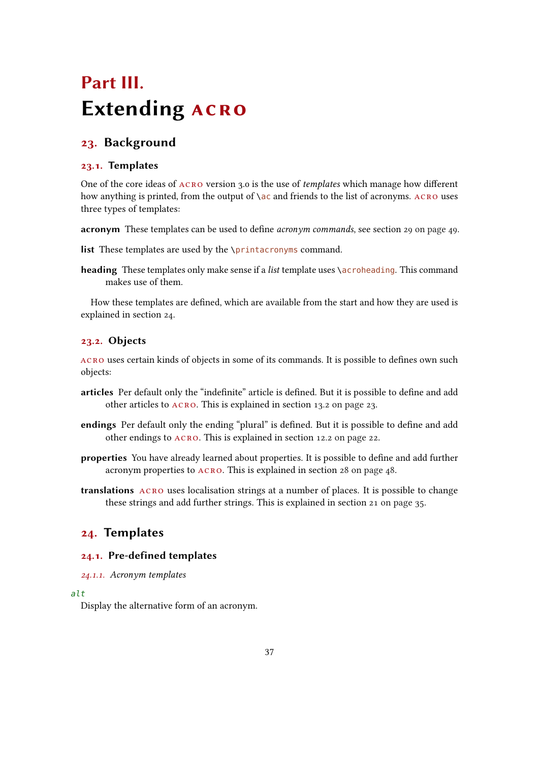## <span id="page-36-7"></span><span id="page-36-0"></span>Part III. **Extending ACRO**

## <span id="page-36-1"></span>23. Background

#### <span id="page-36-2"></span>23.1. Templates

One of the core ideas of  $ACRO$  version 3.0 is the use of *templates* which manage how different how anything is printed, from the output of  $\a$ c and friends to the list of acronyms. ACRO uses three types of templates:

acronym These templates can be used to define *acronym commands*, see section [29 on page 49.](#page-48-0)

list These templates are used by the \printacronyms command.

heading These templates only make sense if a *list* template uses \acroheading. This command makes use of them.

How these templates are defined, which are available from the start and how they are used is explained in section [24.](#page-36-4)

#### <span id="page-36-3"></span>23.2. Objects

acro uses certain kinds of objects in some of its commands. It is possible to defines own such objects:

- articles Per default only the "indefinite" article is defined. But it is possible to define and add other articles to acro. This is explained in section [13.2 on page 23.](#page-22-2)
- endings Per default only the ending "plural" is defined. But it is possible to define and add other endings to acro. This is explained in section [12.2 on page 22.](#page-21-0)
- properties You have already learned about properties. It is possible to define and add further acronym properties to  $ACRO$ . This is explained in section [28 on page 48.](#page-47-1)
- translations acro uses localisation strings at a number of places. It is possible to change these strings and add further strings. This is explained in section [21 on page 35.](#page-34-0)

## <span id="page-36-4"></span>24. Templates

#### <span id="page-36-5"></span>24.1. Pre-defined templates

<span id="page-36-6"></span>24.1.1. Acronym templates

#### alt

Display the alternative form of an acronym.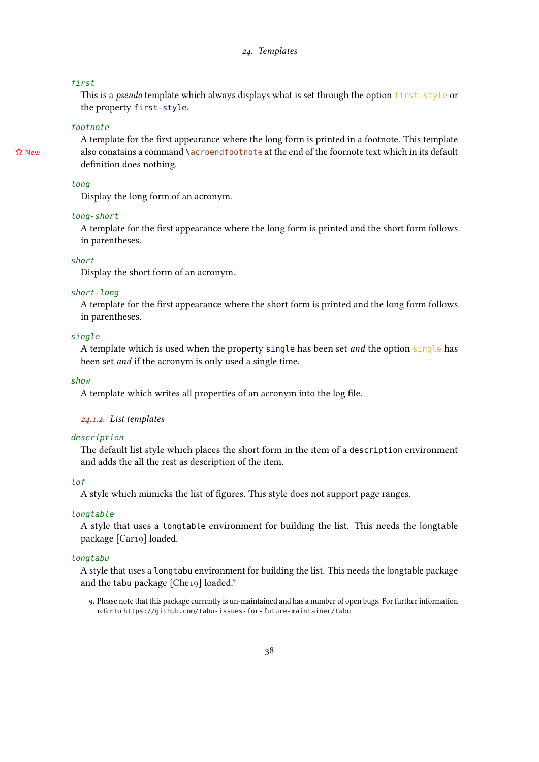#### <span id="page-37-2"></span>first

This is a *pseudo* template which always displays what is set through the option first-style or the property first-style.

#### footnote

A template for the first appearance where the long form is printed in a footnote. This template  $\hat{x}$  New also conatains a command \acroendfootnote at the end of the foornote text which in its default definition does nothing.

#### long

Display the long form of an acronym.

#### long-short

A template for the first appearance where the long form is printed and the short form follows in parentheses.

#### short

Display the short form of an acronym.

#### short-long

A template for the first appearance where the short form is printed and the long form follows in parentheses.

#### single

A template which is used when the property single has been set and the option single has been set and if the acronym is only used a single time.

show

A template which writes all properties of an acronym into the log file.

#### <span id="page-37-0"></span>24.1.2. List templates

#### description

The default list style which places the short form in the item of a description environment and adds the all the rest as description of the item.

#### lof

A style which mimicks the list of figures. This style does not support page ranges.

#### **longtable**

A style that uses a longtable environment for building the list. This needs the longtable package [\[Car19\]](#page-57-12) loaded.

#### longtabu

A style that uses a longtabu environment for building the list. This needs the longtable package and the tabu package [\[Che19\]](#page-57-13) loaded.<sup>9</sup>

<span id="page-37-1"></span><sup>9.</sup> Please note that this package currently is un-maintained and has a number of open bugs. For further information refer to <https://github.com/tabu-issues-for-future-maintainer/tabu>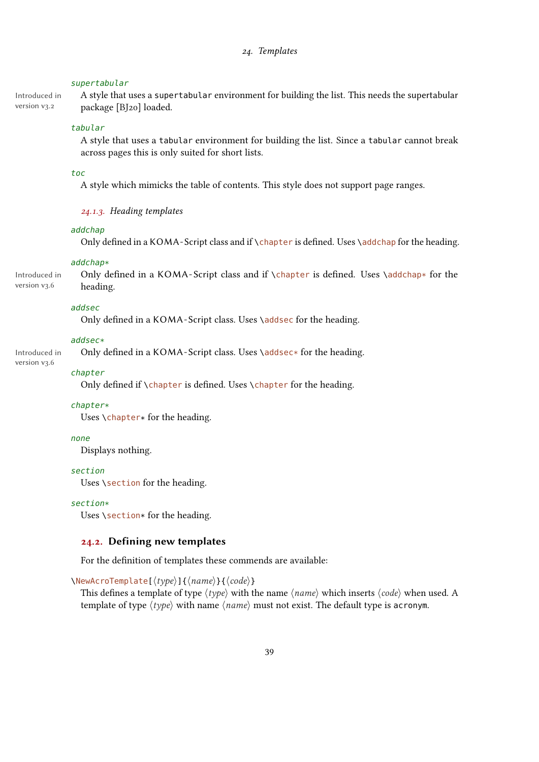#### <span id="page-38-2"></span>supertabular

Introduced in version v3.2

A style that uses a supertabular environment for building the list. This needs the supertabular package [\[BJ20\]](#page-57-14) loaded.

#### tabular

A style that uses a tabular environment for building the list. Since a tabular cannot break across pages this is only suited for short lists.

#### toc

A style which mimicks the table of contents. This style does not support page ranges.

#### <span id="page-38-0"></span>24.1.3. Heading templates

#### addchap

Only defined in a KOMA-Script class and if \chapter is defined. Uses \addchap for the heading.

#### addchap\*

Introduced in version v3.6 Only defined in a KOMA-Script class and if \chapter is defined. Uses \addchap\* for the heading.

#### addsec

Only defined in a KOMA-Script class. Uses \addsec for the heading.

#### addsec\*

Only defined in a KOMA-Script class. Uses \addsec\* for the heading.

#### chapter

Introduced in version v3.6

Only defined if \chapter is defined. Uses \chapter for the heading.

#### chapter\*

Uses \chapter\* for the heading.

#### none

Displays nothing.

#### section

Uses \section for the heading.

#### section\*

Uses  $\setminus$  section\* for the heading.

#### <span id="page-38-1"></span>24.2. Defining new templates

For the definition of templates these commends are available:

\NewAcroTemplate[⟨type⟩]{⟨name⟩}{⟨code⟩}

This defines a template of type  $\langle type \rangle$  with the name  $\langle name \rangle$  which inserts  $\langle code \rangle$  when used. A template of type  $\langle type \rangle$  with name  $\langle name \rangle$  must not exist. The default type is acronym.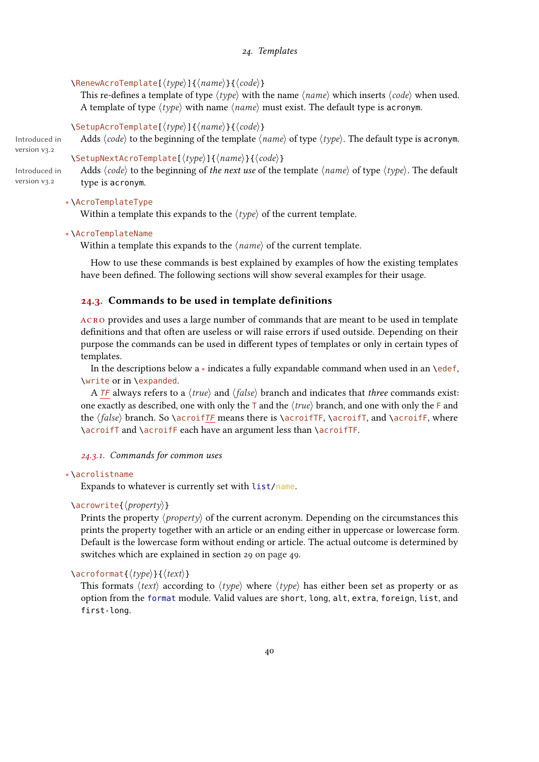#### 24. Templates

#### <span id="page-39-2"></span>\RenewAcroTemplate[⟨type⟩]{⟨name⟩}{⟨code⟩}

This re-defines a template of type  $\langle type \rangle$  with the name  $\langle name \rangle$  which inserts  $\langle code \rangle$  when used. A template of type  $\langle type \rangle$  with name  $\langle name \rangle$  must exist. The default type is acronym.

#### \SetupAcroTemplate[⟨type⟩]{⟨name⟩}{⟨code⟩}

Adds  $\langle code \rangle$  to the beginning of the template  $\langle name \rangle$  of type  $\langle type \rangle$ . The default type is acronym.

#### \SetupNextAcroTemplate[⟨type⟩]{⟨name⟩}{⟨code⟩}

Adds  $\langle code \rangle$  to the beginning of the next use of the template  $\langle name \rangle$  of type  $\langle type \rangle$ . The default type is acronym.

#### ∗ \AcroTemplateType

Within a template this expands to the  $\langle type \rangle$  of the current template.

#### ∗ \AcroTemplateName

Within a template this expands to the  $\langle name \rangle$  of the current template.

How to use these commands is best explained by examples of how the existing templates have been defined. The following sections will show several examples for their usage.

#### <span id="page-39-0"></span>24.3. Commands to be used in template definitions

acro provides and uses a large number of commands that are meant to be used in template definitions and that often are useless or will raise errors if used outside. Depending on their purpose the commands can be used in different types of templates or only in certain types of templates.

In the descriptions below a ∗ indicates a fully expandable command when used in an \edef, \write or in \expanded.

A TF always refers to a  $\langle true \rangle$  and  $\langle false \rangle$  branch and indicates that *three* commands exist: one exactly as described, one with only the  $\top$  and the  $\langle true \rangle$  branch, and one with only the  $\top$  and the  $\{false\}$  branch. So \acroifTF means there is \acroifTF, \acroifT, and \acroifF, where \acroifT and \acroifF each have an argument less than \acroifTF.

<span id="page-39-1"></span>24.3.1. Commands for common uses

#### ∗ \acrolistname

Expands to whatever is currently set with list/name.

#### \acrowrite{⟨property⟩}

Prints the property  $\langle property \rangle$  of the current acronym. Depending on the circumstances this prints the property together with an article or an ending either in uppercase or lowercase form. Default is the lowercase form without ending or article. The actual outcome is determined by switches which are explained in section [29 on page 49.](#page-48-0)

#### \acroformat{⟨type⟩}{⟨text⟩}

This formats  $\langle text \rangle$  according to  $\langle type \rangle$  where  $\langle type \rangle$  has either been set as property or as option from the format module. Valid values are short, long, alt, extra, foreign, list, and first-long.

Introduced in version v3.2

Introduced in version v<sub>3.2</sub>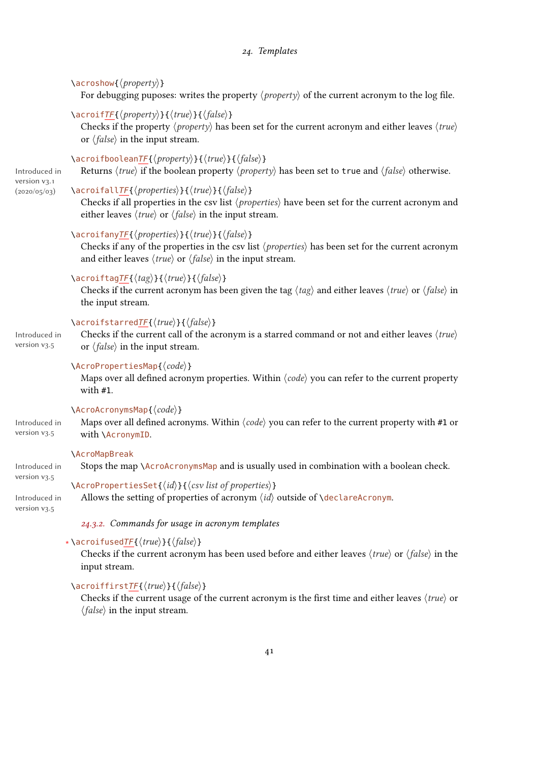<span id="page-40-1"></span>

|                                                 | $\langle \text{aroshow} \{ \langle \text{property} \rangle \} \rangle$<br>For debugging puposes: writes the property $\langle property \rangle$ of the current acronym to the log file.                                                                                                                         |
|-------------------------------------------------|-----------------------------------------------------------------------------------------------------------------------------------------------------------------------------------------------------------------------------------------------------------------------------------------------------------------|
| Introduced in<br>version v3.1<br>(2020/05/03)   | $\text{Case} \$ { \text{property}} \{ $\langle true \rangle$ } { $\langle false \rangle$ }<br>Checks if the property $\langle property \rangle$ has been set for the current acronym and either leaves $\langle true \rangle$<br>or $\langle false \rangle$ in the input stream.                                |
|                                                 | \acroifbooleanTF{\/property\}}{\true\}}{\false\}<br>Returns $\langle true \rangle$ if the boolean property $\langle property \rangle$ has been set to true and $\langle false \rangle$ otherwise.                                                                                                               |
|                                                 | \acroifallTF{\properties\}{\true\}{\false\}<br>Checks if all properties in the csv list (properties) have been set for the current acronym and<br>either leaves $\langle true \rangle$ or $\langle false \rangle$ in the input stream.                                                                          |
|                                                 | \acroifanyTF{ $\langle properties\rangle$ }{ $\langle true\rangle$ }{ $\langle false\rangle$ }<br>Checks if any of the properties in the csv list $\langle properties \rangle$ has been set for the current acronym<br>and either leaves $\langle true \rangle$ or $\langle false \rangle$ in the input stream. |
|                                                 | \acroiftagTF{ $\langle tag \rangle$ }{ $\langle true \rangle$ }{ $\langle false \rangle$ }<br>Checks if the current acronym has been given the tag $\langle tag \rangle$ and either leaves $\langle true \rangle$ or $\langle false \rangle$ in<br>the input stream.                                            |
| Introduced in<br>version v3.5                   | \acroifstarredTF{\/true\}}{\false\}<br>Checks if the current call of the acronym is a starred command or not and either leaves $\langle true \rangle$<br>or $\langle false \rangle$ in the input stream.                                                                                                        |
|                                                 | $\text{AcroPropertiesMap}\{\langle code \rangle\}$<br>Maps over all defined acronym properties. Within $\langle code \rangle$ you can refer to the current property<br>with #1.                                                                                                                                 |
| Introduced in<br>version v3.5                   | \AcroAcronymsMap{ $\langle code \rangle$ }<br>Maps over all defined acronyms. Within $\langle code \rangle$ you can refer to the current property with #1 or<br>with \AcronymID.                                                                                                                                |
| Introduced in                                   | <b>\AcroMapBreak</b><br>Stops the map \AcroAcronymsMap and is usually used in combination with a boolean check.                                                                                                                                                                                                 |
| version $v3.5$<br>Introduced in<br>version v3.5 | $\setminus$ AcroPropertiesSet{ $\langle id \rangle$ }{ $\langle csv \text{ list of properties} \rangle$ }<br>Allows the setting of properties of acronym $\langle id \rangle$ outside of $\d$ eclareAcronym.                                                                                                    |
|                                                 | 24.3.2. Commands for usage in acronym templates                                                                                                                                                                                                                                                                 |
|                                                 | *\acroifusedTF{ $\langle true \rangle$ }{ $\langle false \rangle$ }<br>Checks if the current acronym has been used before and either leaves $\langle true \rangle$ or $\langle false \rangle$ in the<br>input stream.                                                                                           |

## <span id="page-40-0"></span>\acroiffirstTF{⟨true⟩}{⟨false⟩}

Checks if the current usage of the current acronym is the first time and either leaves  $\langle true \rangle$  or ⟨false⟩ in the input stream.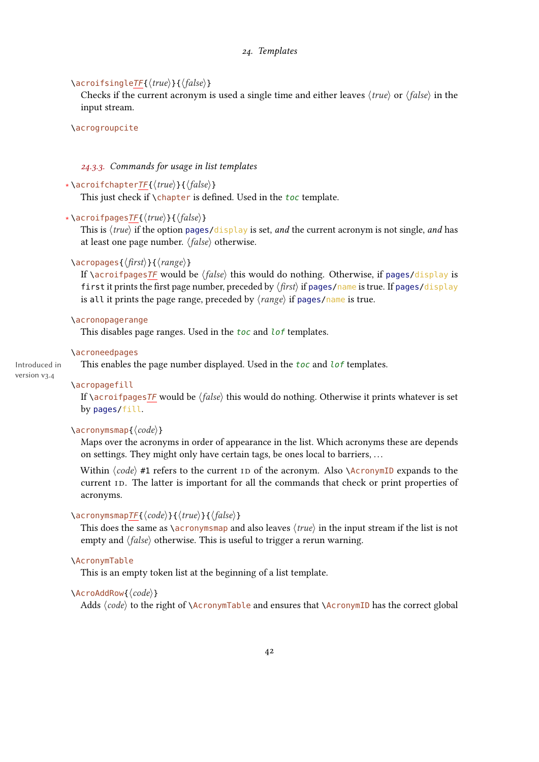#### 24. Templates

#### <span id="page-41-1"></span>\acroifsingleTF{⟨true⟩}{⟨false⟩}

Checks if the current acronym is used a single time and either leaves  $\langle true \rangle$  or  $\langle false \rangle$  in the input stream.

#### \acrogroupcite

#### <span id="page-41-0"></span>24.3.3. Commands for usage in list templates

#### ∗ \acroifchapterTF{⟨true⟩}{⟨false⟩}

This just check if \chapter is defined. Used in the toc template.

#### ∗ \acroifpagesTF{⟨true⟩}{⟨false⟩}

This is  $\langle true \rangle$  if the option pages/display is set, and the current acronym is not single, and has at least one page number. ⟨false⟩ otherwise.

#### \acropages{⟨first⟩}{⟨range⟩}

If \acroifpagesTF would be  $\langle false \rangle$  this would do nothing. Otherwise, if pages/display is first it prints the first page number, preceded by  $\langle$  first $\rangle$  if pages/name is true. If pages/display is all it prints the page range, preceded by  $\langle range \rangle$  if pages/name is true.

#### \acronopagerange

This disables page ranges. Used in the toc and lof templates.

#### \acroneedpages

Introduced in version v3.4

## This enables the page number displayed. Used in the toc and lof templates.

#### \acropagefill

If \acroifpages $TF$  would be  $\langle false \rangle$  this would do nothing. Otherwise it prints whatever is set by pages/fill.

#### \acronymsmap{⟨code⟩}

Maps over the acronyms in order of appearance in the list. Which acronyms these are depends on settings. They might only have certain tags, be ones local to barriers, . . .

Within  $\langle code \rangle$  #1 refers to the current [ID](#page-56-3) of the acronym. Also  $\{AcronymID$  expands to the current [ID.](#page-56-3) The latter is important for all the commands that check or print properties of acronyms.

#### \acronymsmapTF{⟨code⟩}{⟨true⟩}{⟨false⟩}

This does the same as \acronymsmap and also leaves ⟨true⟩ in the input stream if the list is not empty and  $\langle false \rangle$  otherwise. This is useful to trigger a rerun warning.

#### \AcronymTable

This is an empty token list at the beginning of a list template.

#### \AcroAddRow{⟨code⟩}

Adds  $\langle code \rangle$  to the right of \AcronymTable and ensures that \AcronymID has the correct global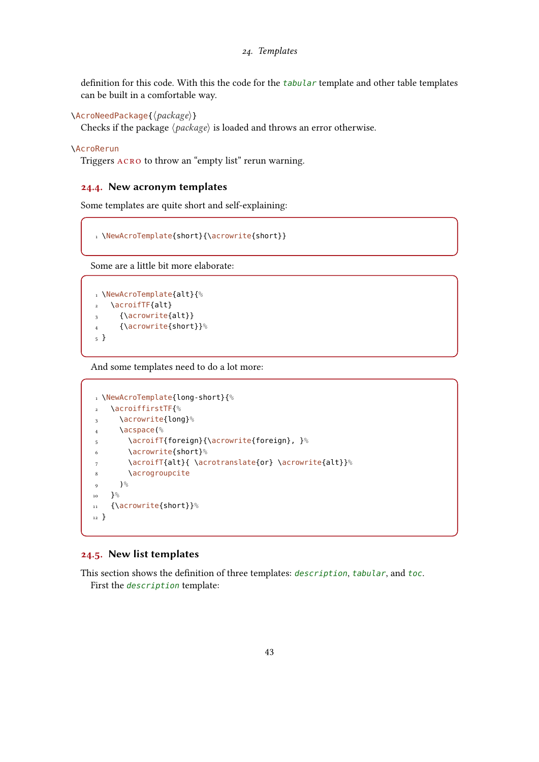<span id="page-42-2"></span>definition for this code. With this the code for the tabular template and other table templates can be built in a comfortable way.

\AcroNeedPackage{⟨package⟩}

Checks if the package ⟨package⟩ is loaded and throws an error otherwise.

#### \AcroRerun

Triggers acro to throw an "empty list" rerun warning.

#### <span id="page-42-0"></span>24.4. New acronym templates

Some templates are quite short and self-explaining:

```
1 \NewAcroTemplate{short}{\acrowrite{short}}
```
Some are a little bit more elaborate:

```
1 \NewAcroTemplate{alt}{%
2 \acroifTF{alt}
3 {\acrowrite{alt}}
4 {\acrowrite{short}}%
5 }
```
And some templates need to do a lot more:

```
1 \NewAcroTemplate{long-short}{%
2 \acroiffirstTF{%
3 \acrowrite{long}%
4 \acspace(%
5 \acroifT{foreign}{\acrowrite{foreign}, }%
6 \acrowrite{short}%
7 \acroifT{alt}{ \acrotranslate{or} \acrowrite{alt}}%
8 \acrogroupcite
9 \frac{9}{6}_{10} }%
11 {\acrowrite{short}}%
12 }
```
#### <span id="page-42-1"></span>24.5. New list templates

This section shows the definition of three templates: description, tabular, and toc. First the description template: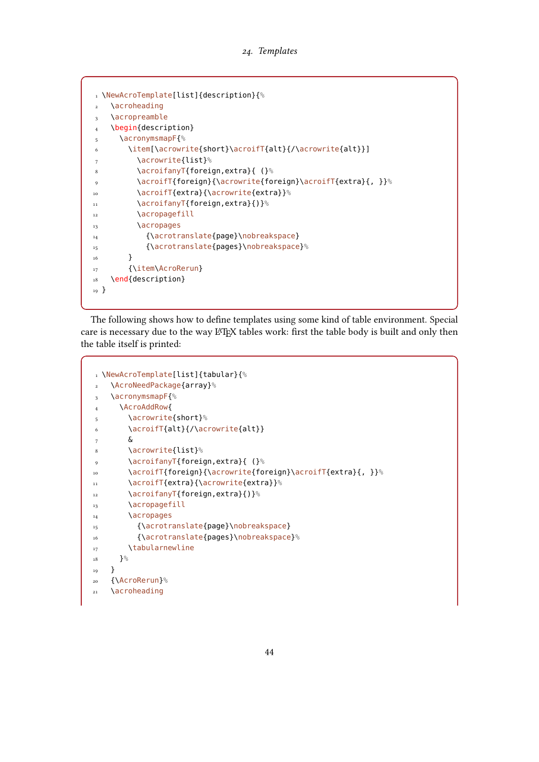```
1 \NewAcroTemplate[list]{description}{%
2 \acroheading
3 \acropreamble
4 \begin{description}
5 \acronymsmapF{%
6 \item[\acrowrite{short}\acroifT{alt}{/\acrowrite{alt}}]
7 \acrowrite{list}%
8 \acroifanyT{foreign,extra}{ (}%
9 \acroifT{foreign}{\acrowrite{foreign}\acroifT{extra}{, }}%
10 \acroifT{extra}{\acrowrite{extra}}%
11 \acroifanyT{foreign,extra}{)}%
12 \acropagefill
13 \acropages
14 {\acrotranslate{page}\nobreakspace}
15 {\acrotranslate{pages}\nobreakspace}%
16 }
17 {\item\AcroRerun}
18 \end{description}
19 }
```
The following shows how to define templates using some kind of table environment. Special care is necessary due to the way LATEX tables work: first the table body is built and only then the table itself is printed:

```
1 \NewAcroTemplate[list]{tabular}{%
2 \AcroNeedPackage{array}%
3 \acronymsmapF{%
4 \AcroAddRow{
5 \acrowrite{short}%
6 \acroifT{alt}{/\acrowrite{alt}}
7 &
8 \acrowrite{list}%
9 \acroifanyT{foreign,extra}{ (}%
10 \acroifT{foreign}{\acrowrite{foreign}\acroifT{extra}{, }}%
11 \acroifT{extra}{\acrowrite{extra}}%
12 \acroifanyT{foreign,extra}{)}%
13 \acropagefill
14 \acropages
15 {\acrotranslate{page}\nobreakspace}
16 {\acrotranslate{pages}\nobreakspace}%
17 \tabularnewline
18 }%
19 }
20 {\AcroRerun}%
21 \acroheading
```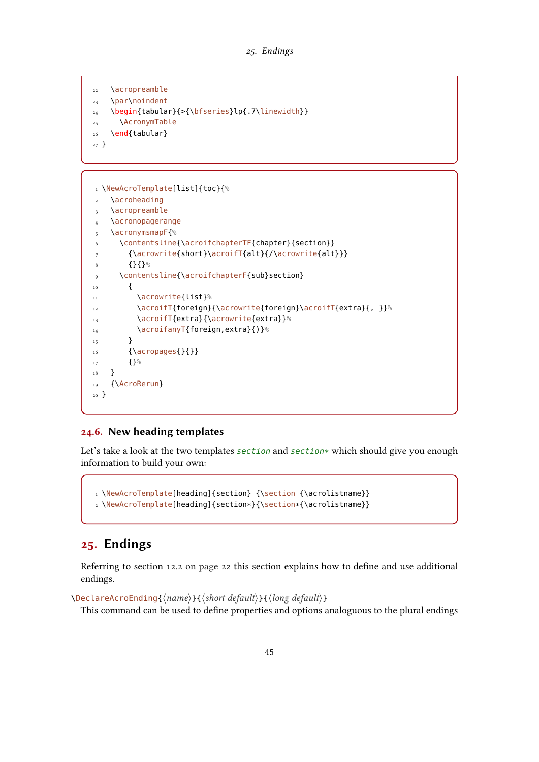```
22 \acropreamble
<sub>23</sub> \par\noindent
24 \begin{tabular}{>{\bfseries}lp{.7\linewidth}}
25 \AcronymTable
26 \end{tabular}
27 }
```

```
1 \NewAcroTemplate[list]{toc}{%
2 \acroheading
3 \acropreamble
   \acronopagerange
5 \acronymsmapF{%
6 \contentsline{\acroifchapterTF{chapter}{section}}
7 {\acrowrite{short}\acroifT{alt}{/\acrowrite{alt}}}
8 {}{}%
9 \contentsline{\acroifchapterF{sub}section}
\frac{10}{10} {
11 \acrowrite{list}%
12 \acroifT{foreign}{\acrowrite{foreign}\acroifT{extra}{, }}%
13 \acroifT{extra}{\acrowrite{extra}}%
14 \acroifanyT{foreign,extra}{)}%
15 }
16 {\acropages{}{}}
17 {}%
18 }
19 {\AcroRerun}
20 }
```
#### <span id="page-44-0"></span>24.6. New heading templates

Let's take a look at the two templates section and section\* which should give you enough information to build your own:

```
1 \NewAcroTemplate[heading]{section} {\section {\acrolistname}}
2 \NewAcroTemplate[heading]{section*}{\section*{\acrolistname}}
```
## <span id="page-44-1"></span>25. Endings

Referring to section [12.2 on page 22](#page-21-0) this section explains how to define and use additional endings.

\DeclareAcroEnding{⟨name⟩}{⟨short default⟩}{⟨long default⟩}

This command can be used to define properties and options analoguous to the plural endings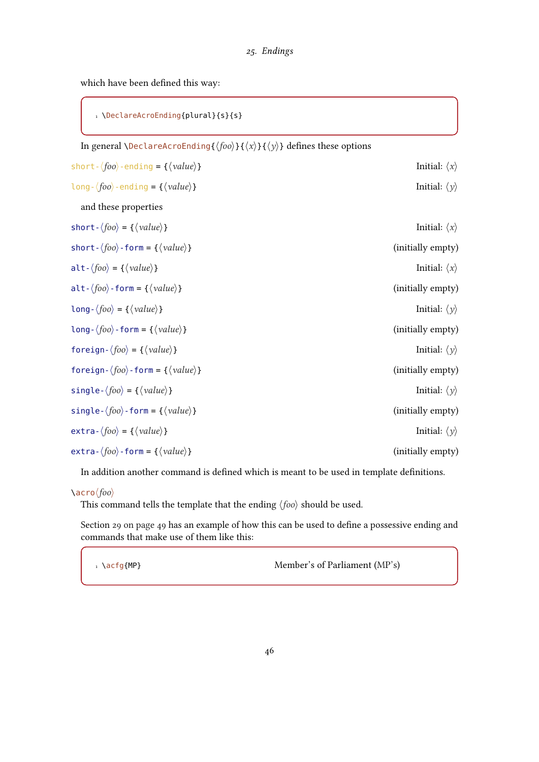#### 25. Endings

<span id="page-45-0"></span>which have been defined this way:

1 \DeclareAcroEnding{plural}{s}{s}

| 1 \DectareAcrochuing{pturat}{5}{5}                                                                                                                         |                              |
|------------------------------------------------------------------------------------------------------------------------------------------------------------|------------------------------|
| In general <i>\DeclareAcroEnding{<math>\langle foo \rangle</math>}{<math>\langle x \rangle</math>}{</i> $\langle y \rangle$ <i>}</i> defines these options |                              |
| short- $\langle foo \rangle$ -ending = { $\langle value \rangle$ }                                                                                         | Initial: $\langle x \rangle$ |
| $long-(foo)-ending = {\langle value \rangle}$                                                                                                              | Initial: $\langle y \rangle$ |
| and these properties                                                                                                                                       |                              |
| short - $\langle foo \rangle$ = { $\langle value \rangle$ }                                                                                                | Initial: $\langle x \rangle$ |
| short- $\langle foo \rangle$ -form = { $\langle value \rangle$ }                                                                                           | (initially empty)            |
| alt- $\langle foo \rangle = {\langle} \langle value \rangle$ }                                                                                             | Initial: $\langle x \rangle$ |
| alt- $\langle foo \rangle$ -form = { $\langle value \rangle$ }                                                                                             | (initially empty)            |
| $long-(foo) = {\langle value \rangle}$                                                                                                                     | Initial: $\langle y \rangle$ |
| long- $\langle foo \rangle$ -form = { $\langle value \rangle$ }                                                                                            | (initially empty)            |
| foreign- $\langle foo \rangle$ = { $\langle value \rangle$ }                                                                                               | Initial: $\langle y \rangle$ |
| foreign- $\langle foo \rangle$ -form = { $\langle value \rangle$ }                                                                                         | (initially empty)            |
| single- $\langle foo \rangle$ = { $\langle value \rangle$ }                                                                                                | Initial: $\langle y \rangle$ |
| single- $\langle foo \rangle$ -form = { $\langle value \rangle$ }                                                                                          | (initially empty)            |
| $extra-\langle foo \rangle = {\langle value \rangle}$                                                                                                      | Initial: $\langle y \rangle$ |
| extra- $\langle foo \rangle$ -form = { $\langle value \rangle$ }                                                                                           | (initially empty)            |

In addition another command is defined which is meant to be used in template definitions.

### \acro⟨foo⟩

This command tells the template that the ending  $\langle foo \rangle$  should be used.

Section [29 on page 49](#page-48-0) has an example of how this can be used to define a possessive ending and commands that make use of them like this:

 $1 \ \text{a}$  \acfg{MP} Member's of Parliament [\(MP's\)](#page-56-6)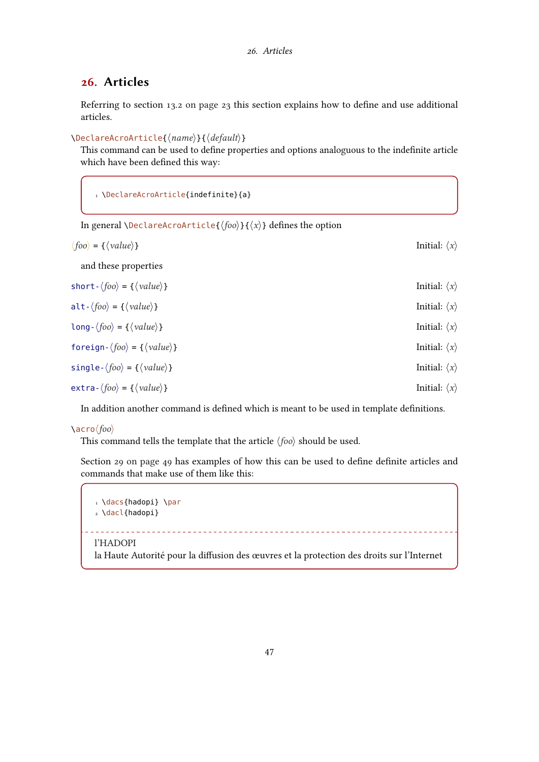## <span id="page-46-1"></span><span id="page-46-0"></span>26. Articles

Referring to section [13.2 on page 23](#page-22-2) this section explains how to define and use additional articles.

\DeclareAcroArticle{⟨name⟩}{⟨default⟩}

This command can be used to define properties and options analoguous to the indefinite article which have been defined this way:

```
1 \DeclareAcroArticle{indefinite}{a}
```

```
In general \DeclareAcroArticle{\langle foo \rangle}{\langle x \rangle} defines the option
```

| $\langle foo \rangle = {\langle value \rangle}$                    | Initial: $\langle x \rangle$ |
|--------------------------------------------------------------------|------------------------------|
| and these properties                                               |                              |
| short - $\langle foo \rangle$ = { $\langle value \rangle$ }        | Initial: $\langle x \rangle$ |
| alt- $\langle foo \rangle$ = { $\langle value \rangle$ }           | Initial: $\langle x \rangle$ |
| $long-(foo) = {\langle value \rangle}$                             | Initial: $\langle x \rangle$ |
| foreign- $\langle foo \rangle = {\langle} \langle value \rangle$ } | Initial: $\langle x \rangle$ |
| single- $\langle foo \rangle$ = { $\langle value \rangle$ }        | Initial: $\langle x \rangle$ |
| $extra-\langle foo \rangle = \{\langle value \rangle\}$            | Initial: $\langle x \rangle$ |

In addition another command is defined which is meant to be used in template definitions.

\acro⟨foo⟩

This command tells the template that the article  $\langle f \circ \phi \rangle$  should be used.

Section [29 on page 49](#page-48-0) has examples of how this can be used to define definite articles and commands that make use of them like this:

```
1 \dacs{hadopi} \par
2 \dacl{hadopi}
       l'HADOPI
la Haute Autorité pour la diffusion des œuvres et la protection des droits sur l'Internet
```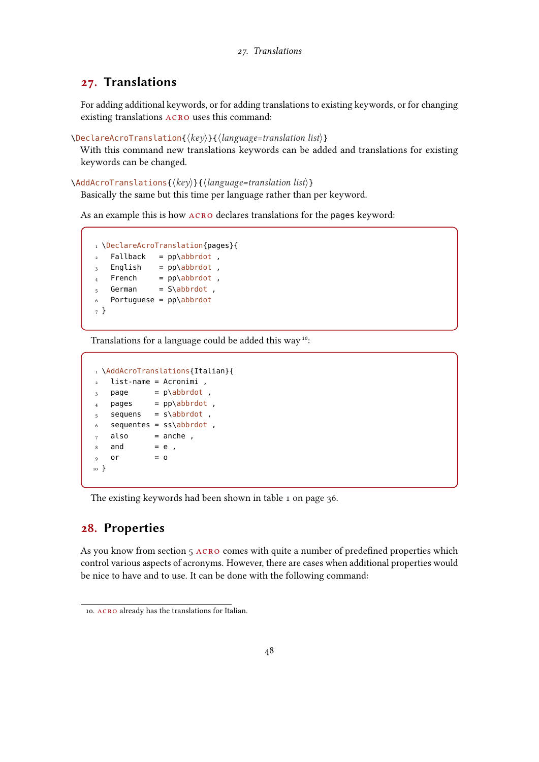## <span id="page-47-3"></span><span id="page-47-0"></span>27. Translations

For adding additional keywords, or for adding translations to existing keywords, or for changing existing translations acro uses this command:

```
\DeclareAcroTranslation{⟨key⟩}{⟨language=translation list⟩}
```
With this command new translations keywords can be added and translations for existing keywords can be changed.

```
\AddAcroTranslations{⟨key⟩}{⟨language=translation list⟩}
```
Basically the same but this time per language rather than per keyword.

As an example this is how acro declares translations for the pages keyword:

```
1 \DeclareAcroTranslation{pages}{
2 Fallback = pp\abbrdot,
3 English = pp\abbrdot,
4 French = pp\abbrdot,
\frac{4}{5} German = S\abbrdot,
6 Portuguese = pp\ab{b}rdot7 }
```
Translations for a language could be added this way<sup>10</sup>:

```
1 \AddAcroTranslations{Italian}{
2 \text{ list-name = Acronimi}.
3 page = p\abbrdot,
4 pages = pp\abbrdot,
s = sequens = s\abbrdot ,
6 sequentes = ss\ab{brdot},
7 \quad also = anche,
8 and = e,
9 or = 010 }
```
The existing keywords had been shown in table [1 on page 36.](#page-35-0)

### <span id="page-47-1"></span>28. Properties

As you know from section [5](#page-5-1) acro comes with quite a number of predefined properties which control various aspects of acronyms. However, there are cases when additional properties would be nice to have and to use. It can be done with the following command:

<span id="page-47-2"></span><sup>10.</sup> ACRO already has the translations for Italian.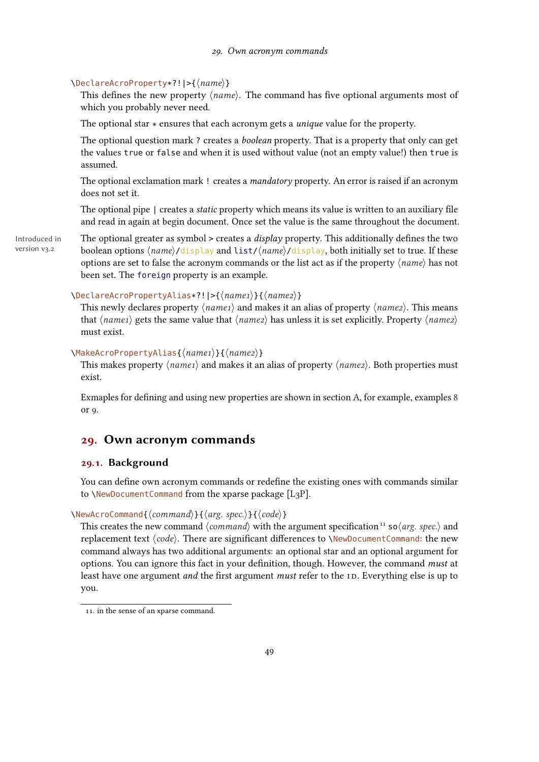#### <span id="page-48-3"></span>\DeclareAcroProperty\*?!|>{⟨name⟩}

This defines the new property  $\langle name \rangle$ . The command has five optional arguments most of which you probably never need.

The optional star  $*$  ensures that each acronym gets a *unique* value for the property.

The optional question mark ? creates a *boolean* property. That is a property that only can get the values true or false and when it is used without value (not an empty value!) then true is assumed.

The optional exclamation mark ! creates a *mandatory* property. An error is raised if an acronym does not set it.

The optional pipe | creates a *static* property which means its value is written to an auxiliary file and read in again at begin document. Once set the value is the same throughout the document.

version v3.2

Introduced in The optional greater as symbol > creates a *display* property. This additionally defines the two boolean options  $\langle name \rangle / \text{display}$  and  $\text{list} / \langle name \rangle / \text{display}$ , both initially set to true. If these options are set to false the acronym commands or the list act as if the property  $\langle name \rangle$  has not been set. The foreign property is an example.

#### \DeclareAcroPropertyAlias\*?!|>{⟨name1⟩}{⟨name2⟩}

This newly declares property  $\langle name_1 \rangle$  and makes it an alias of property  $\langle name_2 \rangle$ . This means that  $\langle name_1 \rangle$  gets the same value that  $\langle name_2 \rangle$  has unless it is set explicitly. Property  $\langle name_2 \rangle$ must exist.

#### \MakeAcroPropertyAlias{⟨name1⟩}{⟨name2⟩}

This makes property  $\langle name_1 \rangle$  and makes it an alias of property  $\langle name_2 \rangle$ . Both properties must exist.

Exmaples for defining and using new properties are shown in section [A,](#page-52-1) for example, examples [8](#page-54-0) or [9.](#page-55-0)

## <span id="page-48-0"></span>29. Own acronym commands

## <span id="page-48-1"></span>29.1. Background

You can define own acronym commands or redefine the existing ones with commands similar to \NewDocumentCommand from the xparse package [\[L3P\]](#page-57-15).

#### \NewAcroCommand{⟨command⟩}{⟨arg. spec.⟩}{⟨code⟩}

This creates the new command  $\langle command \rangle$  with the argument specification<sup>11</sup> so $\langle arg. spec. \rangle$  and replacement text  $\langle code \rangle$ . There are significant differences to \NewDocumentCommand: the new command always has two additional arguments: an optional star and an optional argument for options. You can ignore this fact in your definition, though. However, the command must at least have one argument *and* the first argument *must* refer to the [ID.](#page-56-3) Everything else is up to you.

<span id="page-48-2"></span><sup>11.</sup> in the sense of an xparse command.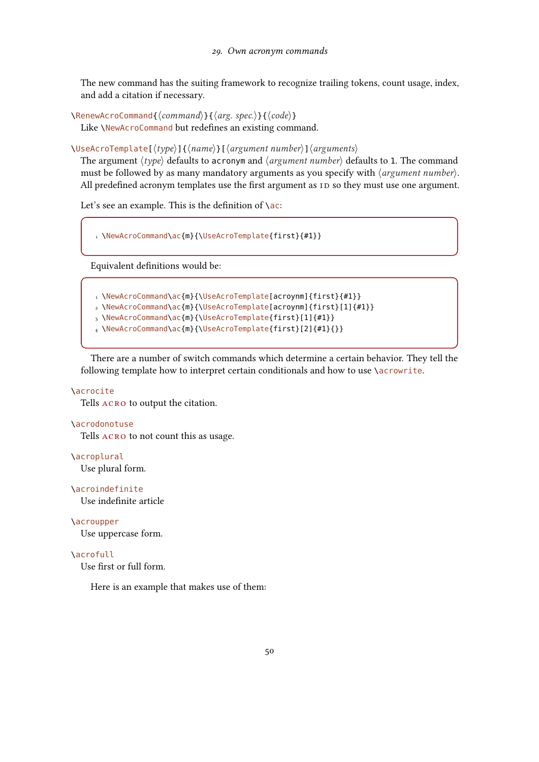<span id="page-49-0"></span>The new command has the suiting framework to recognize trailing tokens, count usage, index, and add a citation if necessary.

\RenewAcroCommand{⟨command⟩}{⟨arg. spec.⟩}{⟨code⟩} Like \NewAcroCommand but redefines an existing command.

\UseAcroTemplate[⟨type⟩]{⟨name⟩}[⟨argument number⟩]⟨arguments⟩

The argument  $\langle type \rangle$  defaults to acronym and  $\langle argument\ number \rangle$  defaults to 1. The command must be followed by as many mandatory arguments as you specify with  $\langle argument\ number \rangle$ . All predefined acronym templates use the first argument as [ID](#page-56-3) so they must use one argument.

Let's see an example. This is the definition of  $\setminus$ ac:

1 \NewAcroCommand\ac{m}{\UseAcroTemplate{first}{#1}}

Equivalent definitions would be:

- 1 \NewAcroCommand\ac{m}{\UseAcroTemplate[acroynm]{first}{#1}}
- 2 \NewAcroCommand\ac{m}{\UseAcroTemplate[acroynm]{first}[1]{#1}}
- 3 \NewAcroCommand\ac{m}{\UseAcroTemplate{first}[1]{#1}}
- 4 \NewAcroCommand\ac{m}{\UseAcroTemplate{first}[2]{#1}{}}

There are a number of switch commands which determine a certain behavior. They tell the following template how to interpret certain conditionals and how to use \acrowrite.

#### \acrocite

Tells acro to output the citation.

#### \acrodonotuse

Tells ACRO to not count this as usage.

\acroplural

Use plural form.

#### \acroindefinite

Use indefinite article

#### \acroupper

Use uppercase form.

#### \acrofull

Use first or full form.

Here is an example that makes use of them: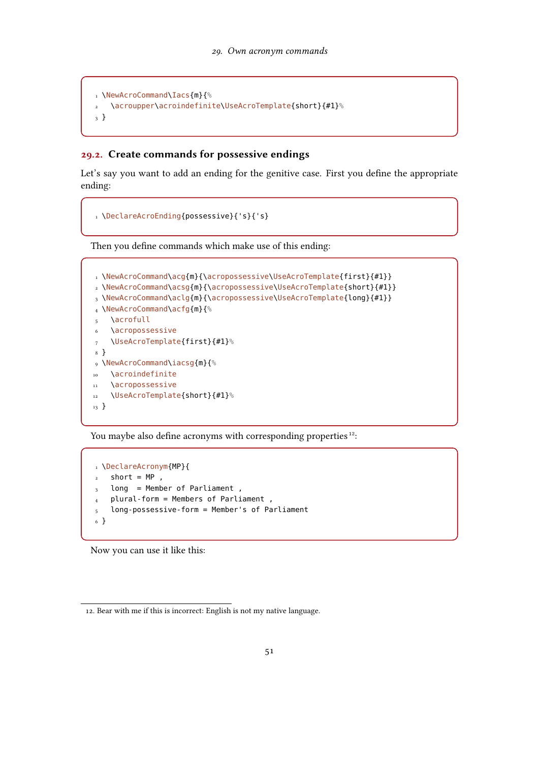```
1 \NewAcroCommand\Iacs{m}{%
2 \acroupper\acroindefinite\UseAcroTemplate{short}{#1}%
3 }
```
#### <span id="page-50-0"></span>29.2. Create commands for possessive endings

Let's say you want to add an ending for the genitive case. First you define the appropriate ending:

```
1 \DeclareAcroEnding{possessive}{'s}{'s}
```
Then you define commands which make use of this ending:

```
1 \NewAcroCommand\acg{m}{\acropossessive\UseAcroTemplate{first}{#1}}
2 \NewAcroCommand\acsg{m}{\acropossessive\UseAcroTemplate{short}{#1}}
3 \NewAcroCommand\aclg{m}{\acropossessive\UseAcroTemplate{long}{#1}}
4 \NewAcroCommand\acfg{m}{%
5 \acrofull
6 \acropossessive
7 \UseAcroTemplate{first}{#1}%
8 }
9 \NewAcroCommand\iacsg{m}{%
10 \acroindefinite
11 \acropossessive
12 \UseAcroTemplate{short}{#1}%
13 }
```
You maybe also define acronyms with corresponding properties<sup>12</sup>:

```
1 \DeclareAcronym{MP}{
2 short = MP,
3 long = Member of Parliament,
4 plural-form = Members of Parliament ,
5 long-possessive-form = Member's of Parliament
6 }
```
Now you can use it like this:

<span id="page-50-1"></span><sup>12.</sup> Bear with me if this is incorrect: English is not my native language.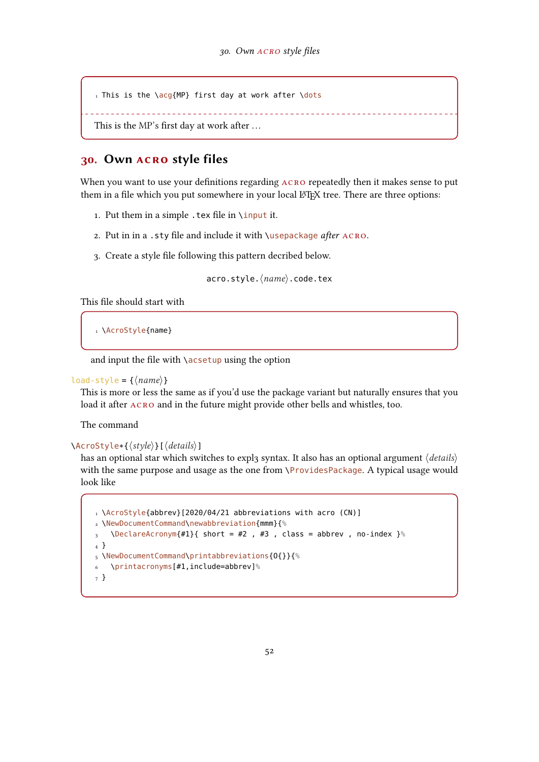```
1 This is the \acg{MP} first day at work after \dot{O}
```

```
MP's first day at work after ...
```
## <span id="page-51-0"></span>30. Own acro style files

When you want to use your definitions regarding  $ACRO$  repeatedly then it makes sense to put them in a file which you put somewhere in your local LAT<sub>EX</sub> tree. There are three options:

- 1. Put them in a simple .tex file in \input it.
- 2. Put in in a .sty file and include it with \usepackage after ACRO.
- 3. Create a style file following this pattern decribed below.

acro.style.⟨name⟩.code.tex

This file should start with

```
1 \AcroStyle{name}
```
and input the file with \acsetup using the option

#### load-style =  ${\langle name \rangle}$

This is more or less the same as if you'd use the package variant but naturally ensures that you load it after  $ACRO$  and in the future might provide other bells and whistles, too.

The command

#### \AcroStyle\*{⟨style⟩}[⟨details⟩]

has an optional star which switches to expl3 syntax. It also has an optional argument  $\langle details \rangle$ with the same purpose and usage as the one from \ProvidesPackage. A typical usage would look like

```
1 \AcroStyle{abbrev}[2020/04/21 abbreviations with acro (CN)]
2 \NewDocumentCommand\newabbreviation{mmm}{%
3 \quad \DeltaDeclareAcronym{#1}{ short = #2, #3, class = abbrev, no-index \%
4 }
5 \NewDocumentCommand\printabbreviations{O{}}{%
6 \printacronyms[#1,include=abbrev]%
7 }
```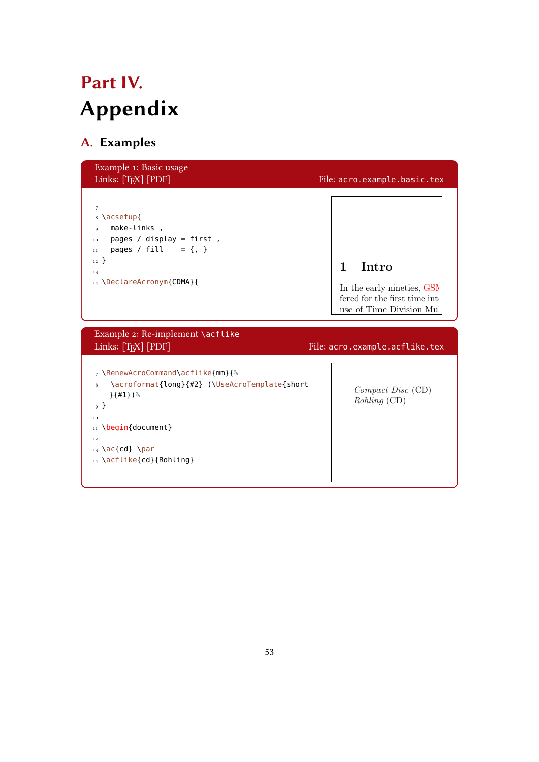## <span id="page-52-2"></span><span id="page-52-0"></span>Part IV. Appendix

## <span id="page-52-1"></span>A. Examples

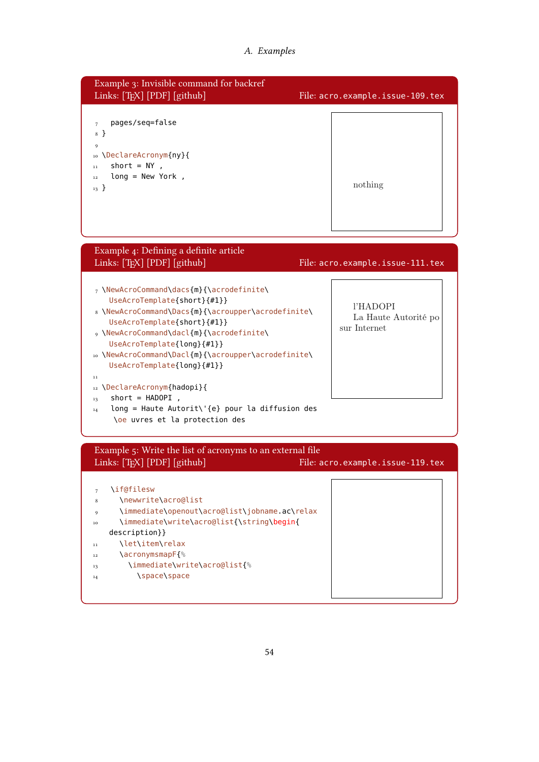<span id="page-53-0"></span>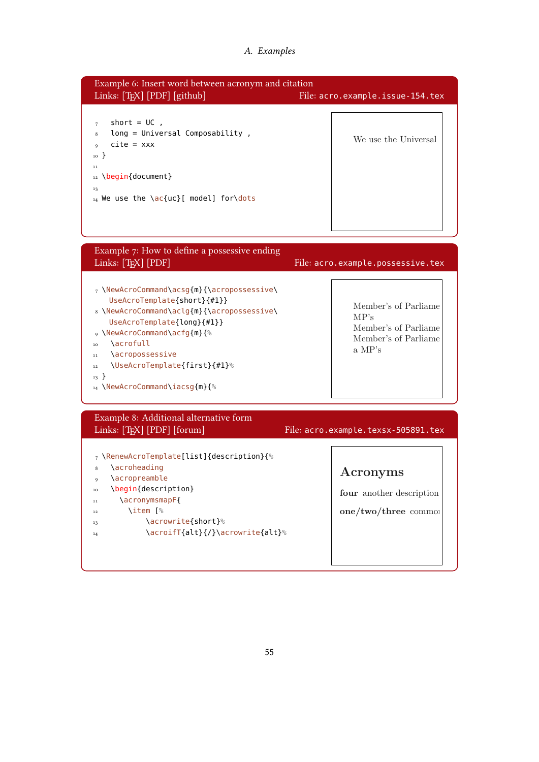#### A. Examples

<span id="page-54-1"></span><span id="page-54-0"></span>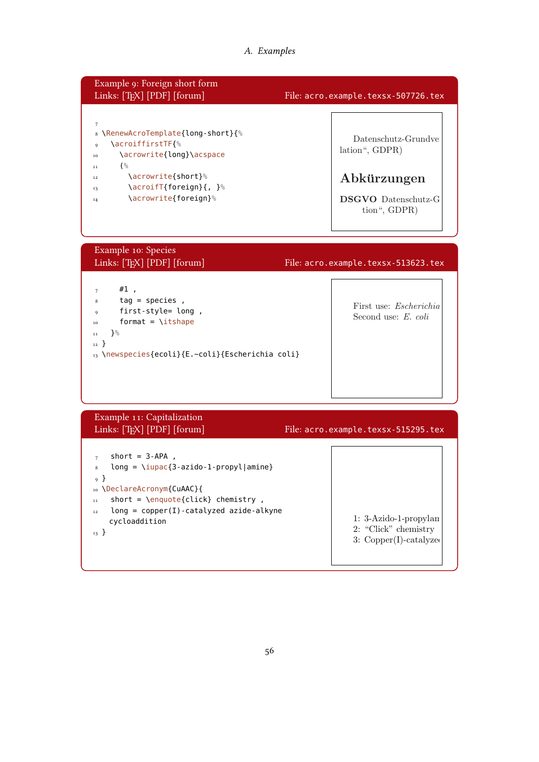## A. Examples

<span id="page-55-1"></span><span id="page-55-0"></span>

| Example 9: Foreign short form<br>Links: [TFX] [PDF] [forum]                                                                                                                                                                                                                                     | File: acro.example.texsx-507726.tex                                                                |
|-------------------------------------------------------------------------------------------------------------------------------------------------------------------------------------------------------------------------------------------------------------------------------------------------|----------------------------------------------------------------------------------------------------|
| $\boldsymbol{7}$<br>& \RenewAcroTemplate{long-short}{%<br>\acroiffirstTF{%<br>9<br>\acrowrite{long}\acspace<br>10<br>(%<br>11<br>\acrowrite{short}%<br>12<br>\acroifT{foreign}{, }%<br>13<br>\acrowrite{foreign}%<br>14                                                                         | Datenschutz-Grundve<br>lation", GDPR)<br>Abkürzungen<br><b>DSGVO</b> Datenschutz-G<br>tion", GDPR) |
| Example 10: Species<br>Links: [TEX] [PDF] [forum]                                                                                                                                                                                                                                               | File: acro.example.texsx-513623.tex                                                                |
| $#1$ ,<br>7<br>$tag = species$ ,<br>8<br>first-style= long,<br>9<br>format = $\iota$ itshape<br>10<br>$\}$ %<br>$1\,1$<br>$_{12}$ }<br>13 \newspecies{ecoli}{E.~coli}{Escherichia coli}                                                                                                         | First use: Escherichia<br>Second use: E. coli                                                      |
| Example 11: Capitalization<br>Links: [TEX] [PDF] [forum]                                                                                                                                                                                                                                        | File: acro.example.texsx-515295.tex                                                                |
| short = $3$ -APA,<br>$\overline{7}$<br>$long = \iota\{3 - azido - 1 - propyl   amine\}$<br>8<br><sup>9</sup> }<br>10 \DeclareAcronym{CuAAC}{<br>short = $\emptyset$ /enquote{click} chemistry,<br>$1\,1$<br>$long = copper(I) - cataloged azide-alkyne$<br>$1\,2$<br>cycloaddition<br>$_{13}$ } | 1: 3-Azido-1-propylan<br>2: "Click" chemistry<br>$3:$ Copper(I)-catalyzed                          |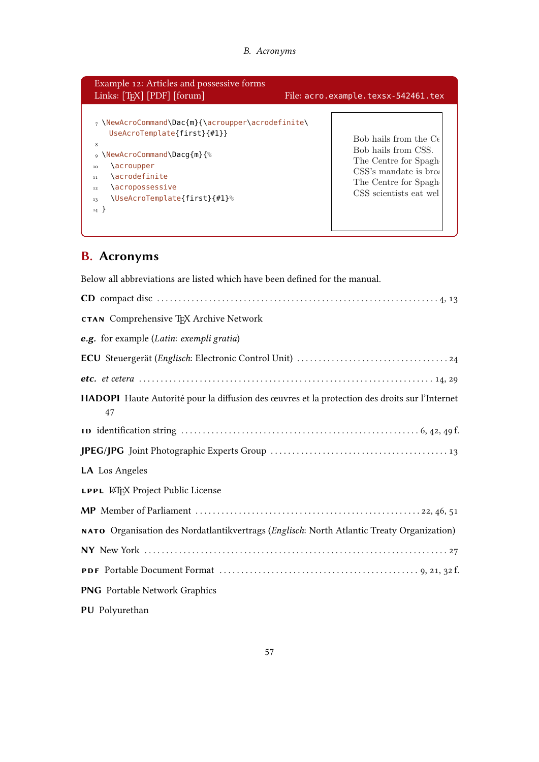<span id="page-56-9"></span>

| 7 \NewAcroCommand\Dac{m}{\acroupper\acrodefinite\<br>UseAcroTemplate{first}{#1}}<br>Bob hails from the $C_{\epsilon}$<br>Bob hails from CSS.<br>∘ \NewAcroCommand\Dacq{m}{ <sup>%</sup><br>The Centre for Spagh<br>\acroupper<br>10<br>CSS's mandate is broa<br><b>\acrodefinite</b><br>11<br>The Centre for Spagh<br>\acropossessive<br>12<br>CSS scientists eat wel<br>\UseAcroTemplate{first}{#1}%<br>13<br>$_{14}$ } | Example 12: Articles and possessive forms<br>Links: [TFX] [PDF] [forum] | File: acro.example.texsx-542461.tex |
|--------------------------------------------------------------------------------------------------------------------------------------------------------------------------------------------------------------------------------------------------------------------------------------------------------------------------------------------------------------------------------------------------------------------------|-------------------------------------------------------------------------|-------------------------------------|
|                                                                                                                                                                                                                                                                                                                                                                                                                          |                                                                         |                                     |

## <span id="page-56-1"></span>B. Acronyms

Below all abbreviations are listed which have been defined for the manual.

<span id="page-56-8"></span><span id="page-56-7"></span><span id="page-56-6"></span><span id="page-56-5"></span><span id="page-56-4"></span><span id="page-56-3"></span><span id="page-56-2"></span><span id="page-56-0"></span>

| CD compact disc $\ldots$ $\ldots$ $\ldots$ $\ldots$ $\ldots$ $\ldots$ $\ldots$ $\ldots$ $\ldots$ $\ldots$ $\ldots$ $\ldots$ $\ldots$ $\ldots$ $\ldots$ $\ldots$ $\ldots$ $\ldots$ $\ldots$ $\ldots$ $\ldots$ $\ldots$ $\ldots$ $\ldots$ $\ldots$ $\ldots$ $\ldots$ $\ldots$ $\ldots$ $\ldots$ $\ldots$ $\ldots$ $\ldots$ $\ldots$ |
|-----------------------------------------------------------------------------------------------------------------------------------------------------------------------------------------------------------------------------------------------------------------------------------------------------------------------------------|
| <b>CTAN</b> Comprehensive T <sub>F</sub> X Archive Network                                                                                                                                                                                                                                                                        |
| e.g. for example (Latin: exempli gratia)                                                                                                                                                                                                                                                                                          |
|                                                                                                                                                                                                                                                                                                                                   |
|                                                                                                                                                                                                                                                                                                                                   |
| HADOPI Haute Autorité pour la diffusion des œuvres et la protection des droits sur l'Internet<br>47                                                                                                                                                                                                                               |
|                                                                                                                                                                                                                                                                                                                                   |
|                                                                                                                                                                                                                                                                                                                                   |
| <b>LA</b> Los Angeles                                                                                                                                                                                                                                                                                                             |
| <b>LPPL LATEX Project Public License</b>                                                                                                                                                                                                                                                                                          |
|                                                                                                                                                                                                                                                                                                                                   |
| NATO Organisation des Nordatlantikvertrags (Englisch: North Atlantic Treaty Organization)                                                                                                                                                                                                                                         |
|                                                                                                                                                                                                                                                                                                                                   |
|                                                                                                                                                                                                                                                                                                                                   |
| <b>PNG</b> Portable Network Graphics                                                                                                                                                                                                                                                                                              |
| PU Polyurethan                                                                                                                                                                                                                                                                                                                    |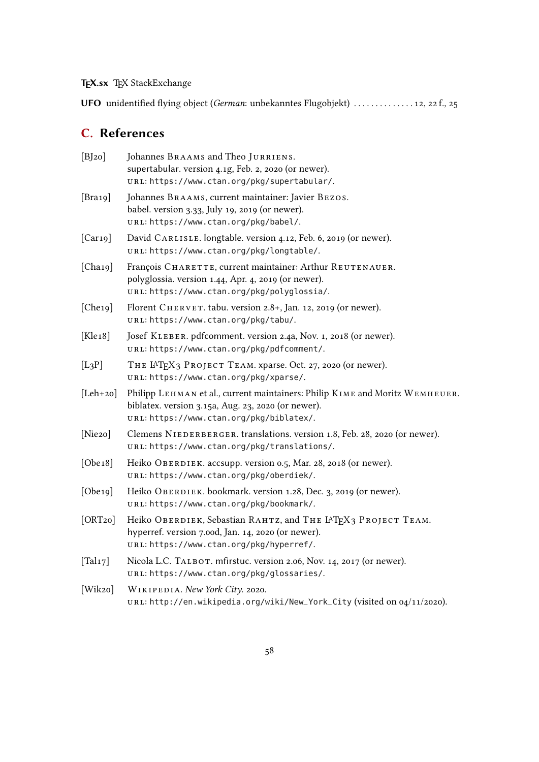## TEX.sx TEX StackExchange

<span id="page-57-5"></span>UFO unidentified flying object (German: unbekanntes Flugobjekt) . . . . . . . . . . . . . . [12,](#page-11-1) [22](#page-21-1) f., [25](#page-24-1)

## <span id="page-57-0"></span>C. References

<span id="page-57-15"></span><span id="page-57-14"></span><span id="page-57-13"></span><span id="page-57-12"></span><span id="page-57-11"></span><span id="page-57-10"></span><span id="page-57-9"></span><span id="page-57-8"></span><span id="page-57-7"></span><span id="page-57-6"></span><span id="page-57-4"></span><span id="page-57-3"></span><span id="page-57-2"></span><span id="page-57-1"></span>

| [B]20]               | Johannes BRAAMS and Theo JURRIENS.<br>supertabular. version 4.1g, Feb. 2, 2020 (or newer).<br>URL: https://www.ctan.org/pkg/supertabular/.                                     |
|----------------------|--------------------------------------------------------------------------------------------------------------------------------------------------------------------------------|
| [ $Bra19$ ]          | Johannes BRAAMS, current maintainer: Javier BEZOS.<br>babel. version 3.33, July 19, 2019 (or newer).<br>URL: https://www.ctan.org/pkg/babel/.                                  |
| $[Car_19]$           | David CARLISLE. longtable. version 4.12, Feb. 6, 2019 (or newer).<br>URL: https://www.ctan.org/pkg/longtable/.                                                                 |
| [Cha19]              | François CHARETTE, current maintainer: Arthur REUTENAUER.<br>polyglossia. version 1.44, Apr. 4, 2019 (or newer).<br>URL: https://www.ctan.org/pkg/polyglossia/.                |
| [Che19]              | Florent CHERVET. tabu. version 2.8+, Jan. 12, 2019 (or newer).<br>URL: https://www.ctan.org/pkg/tabu/.                                                                         |
| [ $Kle18$ ]          | Josef KLEBER. pdfcomment. version 2.4a, Nov. 1, 2018 (or newer).<br>URL: https://www.ctan.org/pkg/pdfcomment/.                                                                 |
| $[L_3P]$             | THE IAT <sub>F</sub> X <sub>3</sub> PROJECT TEAM. xparse. Oct. 27, 2020 (or newer).<br>URL: https://www.ctan.org/pkg/xparse/.                                                  |
| $[Leh+20]$           | Philipp LEHMAN et al., current maintainers: Philip KIME and Moritz WEMHEUER.<br>biblatex. version 3.15a, Aug. 23, 2020 (or newer).<br>URL: https://www.ctan.org/pkg/biblatex/. |
| [Nie2o]              | Clemens NIEDERBERGER. translations. version 1.8, Feb. 28, 2020 (or newer).<br>URL: https://www.ctan.org/pkg/translations/.                                                     |
| [Obe18]              | Heiko OBERDIEK. accsupp. version 0.5, Mar. 28, 2018 (or newer).<br>URL: https://www.ctan.org/pkg/oberdiek/.                                                                    |
| [Obe19]              | Heiko OBERDIEK. bookmark. version 1.28, Dec. 3, 2019 (or newer).<br>URL: https://www.ctan.org/pkg/bookmark/.                                                                   |
| [ORT20]              | Heiko OBERDIEK, Sebastian RAHTZ, and THE IATEX3 PROJECT TEAM.<br>hyperref. version 7.00d, Jan. 14, 2020 (or newer).<br>URL: https://www.ctan.org/pkg/hyperref/.                |
| [Tal <sub>17</sub> ] | Nicola L.C. TALBOT. mfirstuc. version 2.06, Nov. 14, 2017 (or newer).<br>URL: https://www.ctan.org/pkg/glossaries/.                                                            |
| [Wik2o]              | WIKIPEDIA. New York City. 2020.<br>URL: http://en.wikipedia.org/wiki/New_York_City (visited on 04/11/2020).                                                                    |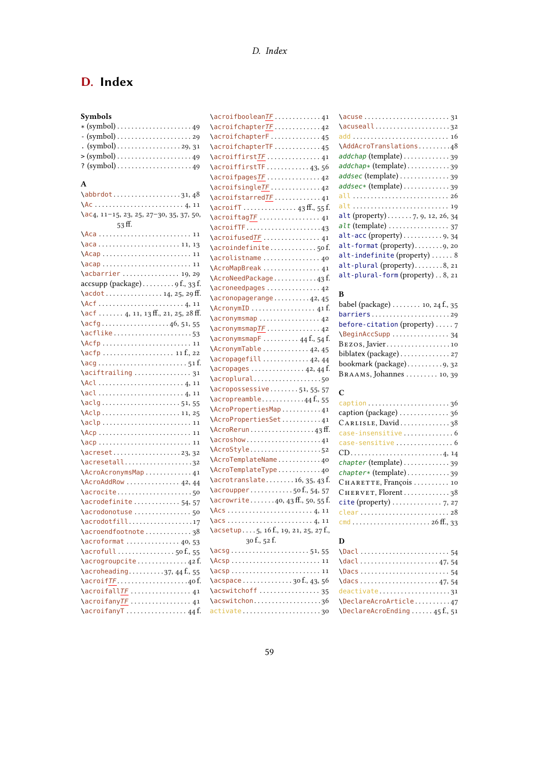## <span id="page-58-0"></span>D. Index

| Symbols |  |  |
|---------|--|--|
|---------|--|--|

| $(gymbol) \ldots \ldots \ldots \ldots \ldots 29, 31$      |
|-----------------------------------------------------------|
|                                                           |
| $? (symbol) \ldots \ldots \ldots \ldots \ldots \ldots 49$ |

#### A

| $\lambda$ bbrdot31,48                                                 |
|-----------------------------------------------------------------------|
| $AC \dots 11$                                                         |
| $\aC4$ , 11-15, 23, 25, 27-30, 35, 37, 50,<br>53ff.                   |
| \Aca  11                                                              |
|                                                                       |
| $\text{Acap}$ 11                                                      |
| $\acap$ 11                                                            |
|                                                                       |
| $accsupp$ (package) $9f., 33f.$                                       |
| $\{acdot \ldots \ldots \ldots \ldots 14, 25, 29 \text{ ff.}\}$        |
|                                                                       |
| $\set{act$ 4, 11, 13ff., 21, 25, 28ff.                                |
| $\arctan 46, 51, 55$                                                  |
| \acflike53                                                            |
|                                                                       |
| \acfp  11 f., 22                                                      |
|                                                                       |
| $\arctan\frac{1}{2}$                                                  |
|                                                                       |
|                                                                       |
| \aclg51,55                                                            |
| $\lambda$ clp11, 25                                                   |
|                                                                       |
|                                                                       |
|                                                                       |
| $\arccos t$ 23,32                                                     |
| \acresetall32                                                         |
| \AcroAcronymsMap41                                                    |
| $\Lambda$ croAddRow  42, 44                                           |
|                                                                       |
| \acrodefinite54,57                                                    |
| \acrodonotuse  50                                                     |
| \acrodotfill17                                                        |
| \acroendfootnote38                                                    |
| $\arctan 40, 53$                                                      |
| $\arctan 50f, 55$                                                     |
| \acrogroupcite42f.                                                    |
| $\arctan\frac{1}{9}$ 37, 44 f., 55                                    |
| \acroifTF40f.                                                         |
| $\arcsin\left(\frac{1}{F} \ldots \ldots \ldots \ldots \ldots \right)$ |
| \acroifany <u>TF</u> 41                                               |
| \acroifanyT44f.                                                       |

| \acroifbooleanTF41                                                              |
|---------------------------------------------------------------------------------|
| \acroifchapter <mark>TF</mark> 42                                               |
| \acroifchapterF45                                                               |
| \acroifchapterTF45                                                              |
| \acroiffirst <u>TF</u> 41                                                       |
| $\arcsin f firstTF$ 43,56                                                       |
| \acroifpages <u>TF</u> 42                                                       |
| \acroifsingleTF42                                                               |
| \acroifstarredTF41                                                              |
|                                                                                 |
| \acroiftagTF  41                                                                |
| $\arcsin\left(\frac{1}{2} + \cdots + \cdots + \cdots + 4\right)$                |
|                                                                                 |
| \acroindefinite50f                                                              |
| \acrolistname40                                                                 |
| \AcroMapBreak  41                                                               |
| \AcroNeedPackage43f.                                                            |
| \acroneedpages  42                                                              |
| \acronopagerange42,45                                                           |
| $\lambda$ cronymID  41 f.                                                       |
| \acronymsmap  42                                                                |
| \acronymsmapTF 42                                                               |
| $\text{C}$ acronymsmapF 44 f., 54 f.                                            |
| \AcronymTable42,45                                                              |
| \acropagefill  42, 44                                                           |
| $\arccos$ 42, 44 f.                                                             |
| \acroplural50                                                                   |
| $\arccos$ s essive51, 55, 57                                                    |
| $\arctan\theta$ 44 f., 55                                                       |
| \AcroPropertiesMap41                                                            |
| \AcroPropertiesSet41                                                            |
| $\Lambda$ cro $\mathsf{Rerun}\ldots\ldots\ldots\ldots\ldots\ldots\qquad 43$ ff. |
| $\arcsin 41$                                                                    |
| \AcroStyle52                                                                    |
| \AcroTemplateName40                                                             |
| \AcroTemplateType40                                                             |
| $\arctan s$ acrotranslate 16, 35, 43 f.                                         |
| $\arctan 50f, 54, 57$                                                           |
| $\arctan 40, 43$ ff., 50, 55 f.                                                 |
|                                                                                 |
|                                                                                 |
| $\text{Xesetup5}, 16f., 19, 21, 25, 27f.,$                                      |
| 30 f., 52 f.                                                                    |
| \acsg51,55                                                                      |
|                                                                                 |
|                                                                                 |
| $\a{c}$ space 30 f., 43, 56                                                     |
| \acswitchoff 35                                                                 |
| \acswitchon36                                                                   |
| activate 30                                                                     |
|                                                                                 |

| \acuseall32                                              |
|----------------------------------------------------------|
| add  16                                                  |
| \AddAcroTranslations48                                   |
| addchap (template) 39                                    |
| addchap* (template) 39                                   |
| addsec (template) 39                                     |
| addsec* (template) 39                                    |
| all  26                                                  |
| alt  19                                                  |
| alt (property)  7, 9, 12, 26, 34                         |
| $alt$ (template) $\ldots \ldots \ldots \ldots \ldots 37$ |
| alt-acc (property)9, 34                                  |
| alt-format (property)9, 20                               |
| alt-indefinite (property)  8                             |
| alt-plural (property)8, 21                               |
| alt-plural-form (property)8, 21                          |
|                                                          |

## B

| babel (package) $\dots \dots 10$ , 24 f., 35                   |
|----------------------------------------------------------------|
| $barriers \ldots \ldots \ldots \ldots \ldots \ldots \ldots 29$ |
| before-citation (property) $\ldots$ 7                          |
| \BeginAccSupp  34                                              |
| $Bezos, Javier \ldots \ldots \ldots \ldots \ldots 10$          |
| biblatex (package) $\dots \dots \dots \dots \dots$             |
| bookmark (package)9, 32                                        |
| BRAAMS, Johannes 10, 39                                        |

## C

| caption 36                                                                |
|---------------------------------------------------------------------------|
| caption (package) 36                                                      |
| CARLISLE, David38                                                         |
| case-insensitive6                                                         |
| case-sensitive  6                                                         |
| $CD \ldots \ldots \ldots \ldots \ldots \ldots \ldots \ldots \ldots 4, 14$ |
| chapter (template) 39                                                     |
| chapter* (template)39                                                     |
| CHARETTE, François  10                                                    |
| CHERVET, Florent38                                                        |
| $\text{cite}$ (property) $\ldots \ldots \ldots \ldots \ldots$ 7, 27       |
| clear  28                                                                 |
|                                                                           |

## $\mathbf D$

| $\frac{1}{3}$ , and $\frac{1}{3}$ |  |
|-----------------------------------|--|
|                                   |  |
| $\frac{47}{54}$                   |  |
|                                   |  |
| \DeclareAcroArticle47             |  |
| \DeclareAcroEnding45f.,51         |  |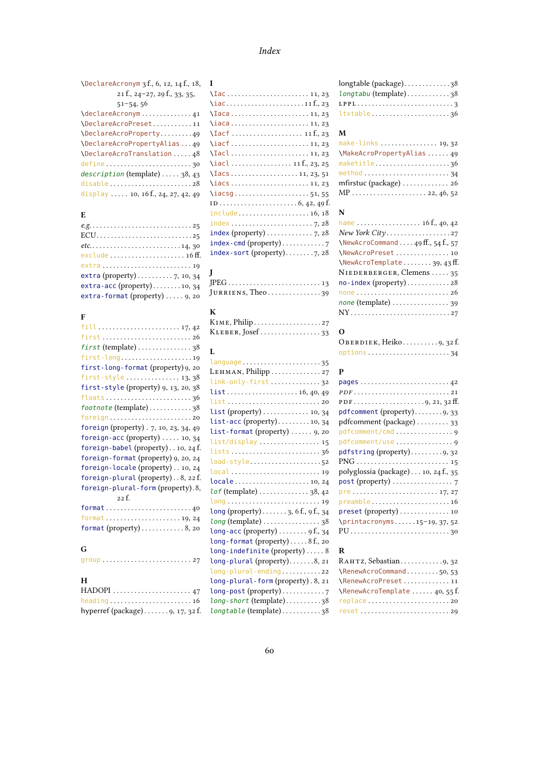## Index

| \DeclareAcronym 3 f., 6, 12, 14 f., 18,                      |  |
|--------------------------------------------------------------|--|
| 21 f., 24-27, 29 f., 33, 35,                                 |  |
| $51 - 54, 56$                                                |  |
| \declareAcronym41                                            |  |
| \DeclareAcroPreset11                                         |  |
| \DeclareAcroProperty49                                       |  |
| \DeclareAcroPropertyAlias49                                  |  |
| \DeclareAcroTranslation  48                                  |  |
| define $\ldots \ldots \ldots \ldots \ldots \ldots \ldots$ 30 |  |
| description (template)  38, 43                               |  |
| disable $\ldots \ldots \ldots \ldots \ldots \ldots 28$       |  |
| display  . 10, 16 f., 24, 27, 42, 49                         |  |

## E

| ECU25                                              |
|----------------------------------------------------|
|                                                    |
|                                                    |
|                                                    |
| extra (property) $\ldots \ldots \ldots 7$ , 10, 34 |
| extra-acc (property)10, 34                         |
| extra-format (property)  9, 20                     |

#### F

#### H

| . .                                                           |
|---------------------------------------------------------------|
|                                                               |
| heading $\ldots \ldots \ldots \ldots \ldots \ldots \ldots 16$ |
| hyperref (package) $\dots \dots$ 9, 17, 32 f.                 |

| I                                                                    |
|----------------------------------------------------------------------|
|                                                                      |
|                                                                      |
|                                                                      |
| $\frac{1}{2}$                                                        |
| $\arctan 11f, 23$                                                    |
|                                                                      |
| \Iacl11,23                                                           |
|                                                                      |
|                                                                      |
|                                                                      |
| $\iota$ acsg51,55                                                    |
|                                                                      |
| include16,18                                                         |
| $index \ldots \ldots \ldots \ldots \ldots \ldots \ldots \ldots$ 7,28 |
| index (property) $\ldots \ldots \ldots \ldots$ 7, 28                 |
|                                                                      |
|                                                                      |

| $\mathbf I$      |  |
|------------------|--|
|                  |  |
| JURRIENS, Theo39 |  |

## K

| KLEBER, Josef33 |  |
|-----------------|--|

#### L

| language 35                                         |
|-----------------------------------------------------|
| LEHMAN, Philipp 27                                  |
| link-only-first32                                   |
| list16, 40, 49                                      |
|                                                     |
| list (property)  10, 34                             |
| $list - acc (property) \ldots \ldots \ldots 10, 34$ |
| list-format (property)  9, 20                       |
| list/display  15                                    |
| lists36                                             |
| load-style 52                                       |
| local  19                                           |
| locale10, 24                                        |
| $l$ of (template) $\dots\dots\dots\dots38$ , 42     |
| long  19                                            |
| long (property)3, 6 f., 9 f., 34                    |
| long (template) 38                                  |
| long-acc (property) $\dots \dots$ , 9 f., 34        |
| $long-format (property) \ldots 8f, z0$              |
| long-indefinite (property)8                         |
| $long$ -plural (property)8, 21                      |
| long-plural-ending22                                |
| long-plural-form (property). 8, 21                  |
| long-post (property)7                               |
| $long$ -short (template)38                          |
| longtable (template)38                              |
|                                                     |

| $longtable$ (package)38 |
|-------------------------|
| $longtabu$ (template)38 |
|                         |
| ltxtable 36             |

#### M

| make-links $\ldots \ldots \ldots \ldots$ 19, 32              |
|--------------------------------------------------------------|
| \MakeAcroPropertyAlias  49                                   |
| maketitle36                                                  |
| method $\ldots \ldots \ldots \ldots \ldots \ldots \ldots 34$ |
| mfirstuc (package)  26                                       |
|                                                              |

#### N

| name 16 f., 40, 42                       |
|------------------------------------------|
| New York City27                          |
| $\NewAcroCommand \ldots 49ff., 54f., 57$ |
| \NewAcroPreset 10                        |
| \NewAcroTemplate39, 43 ff.               |
| NIEDERBERGER, Clemens  35                |
| $no$ -index (property)28                 |
| one  26                                  |
| none (template)  39                      |
|                                          |

## O

| OBERDIEK, Heiko 9, 32 f.                                      |  |
|---------------------------------------------------------------|--|
| $options \ldots \ldots \ldots \ldots \ldots \ldots \ldots 34$ |  |

#### P

## R

| \RenewAcroCommand50,53        |
|-------------------------------|
| \RenewAcroPreset11            |
| \RenewAcroTemplate  40, 55 f. |
|                               |
|                               |